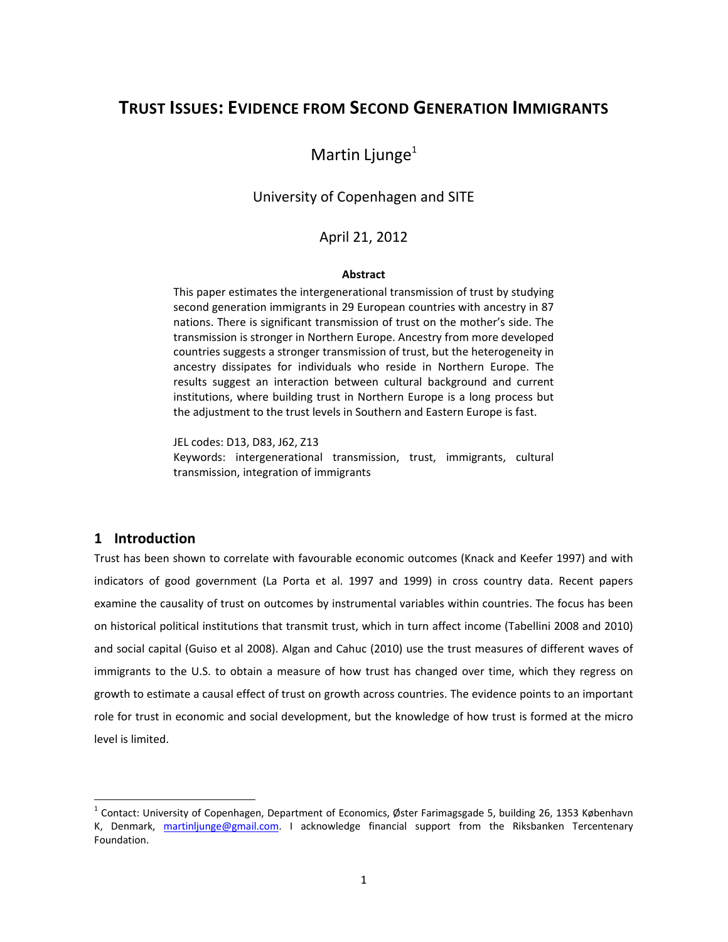# **TRUST ISSUES: EVIDENCE FROM SECOND GENERATION IMMIGRANTS**

# Martin Ljunge $1$

## University of Copenhagen and SITE

#### April 21, 2012

#### **Abstract**

This paper estimates the intergenerational transmission of trust by studying second generation immigrants in 29 European countries with ancestry in 87 nations. There is significant transmission of trust on the mother's side. The transmission is stronger in Northern Europe. Ancestry from more developed countries suggests a stronger transmission of trust, but the heterogeneity in ancestry dissipates for individuals who reside in Northern Europe. The results suggest an interaction between cultural background and current institutions, where building trust in Northern Europe is a long process but the adjustment to the trust levels in Southern and Eastern Europe is fast.

JEL codes: D13, D83, J62, Z13 Keywords: intergenerational transmission, trust, immigrants, cultural transmission, integration of immigrants

# **1 Introduction**

Trust has been shown to correlate with favourable economic outcomes (Knack and Keefer 1997) and with indicators of good government (La Porta et al. 1997 and 1999) in cross country data. Recent papers examine the causality of trust on outcomes by instrumental variables within countries. The focus has been on historical political institutions that transmit trust, which in turn affect income (Tabellini 2008 and 2010) and social capital (Guiso et al 2008). Algan and Cahuc (2010) use the trust measures of different waves of immigrants to the U.S. to obtain a measure of how trust has changed over time, which they regress on growth to estimate a causal effect of trust on growth across countries. The evidence points to an important role for trust in economic and social development, but the knowledge of how trust is formed at the micro level is limited.

 $1$  Contact: University of Copenhagen, Department of Economics, Øster Farimagsgade 5, building 26, 1353 København K, Denmark, martinljunge@gmail.com. I acknowledge financial support from the Riksbanken Tercentenary Foundation.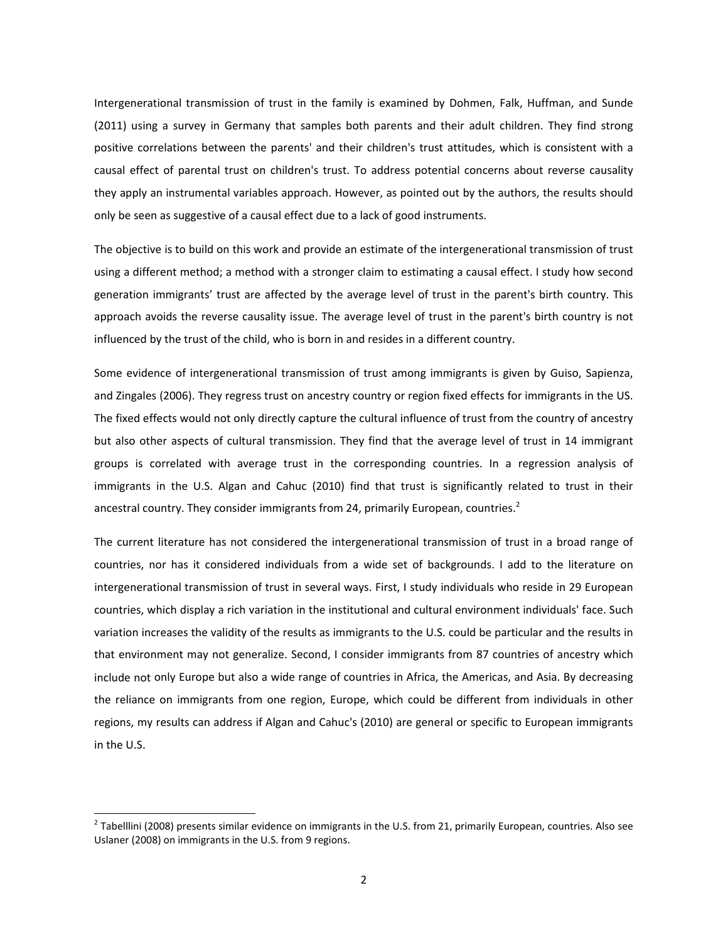Intergenerational transmission of trust in the family is examined by Dohmen, Falk, Huffman, and Sunde (2011) using a survey in Germany that samples both parents and their adult children. They find strong positive correlations between the parents' and their children's trust attitudes, which is consistent with a causal effect of parental trust on children's trust. To address potential concerns about reverse causality they apply an instrumental variables approach. However, as pointed out by the authors, the results should only be seen as suggestive of a causal effect due to a lack of good instruments.

The objective is to build on this work and provide an estimate of the intergenerational transmission of trust using a different method; a method with a stronger claim to estimating a causal effect. I study how second generation immigrants' trust are affected by the average level of trust in the parent's birth country. This approach avoids the reverse causality issue. The average level of trust in the parent's birth country is not influenced by the trust of the child, who is born in and resides in a different country.

Some evidence of intergenerational transmission of trust among immigrants is given by Guiso, Sapienza, and Zingales (2006). They regress trust on ancestry country or region fixed effects for immigrants in the US. The fixed effects would not only directly capture the cultural influence of trust from the country of ancestry but also other aspects of cultural transmission. They find that the average level of trust in 14 immigrant groups is correlated with average trust in the corresponding countries. In a regression analysis of immigrants in the U.S. Algan and Cahuc (2010) find that trust is significantly related to trust in their ancestral country. They consider immigrants from 24, primarily European, countries.<sup>2</sup>

The current literature has not considered the intergenerational transmission of trust in a broad range of countries, nor has it considered individuals from a wide set of backgrounds. I add to the literature on intergenerational transmission of trust in several ways. First, I study individuals who reside in 29 European countries, which display a rich variation in the institutional and cultural environment individuals' face. Such variation increases the validity of the results as immigrants to the U.S. could be particular and the results in that environment may not generalize. Second, I consider immigrants from 87 countries of ancestry which include not only Europe but also a wide range of countries in Africa, the Americas, and Asia. By decreasing the reliance on immigrants from one region, Europe, which could be different from individuals in other regions, my results can address if Algan and Cahuc's (2010) are general or specific to European immigrants in the U.S.

 $^2$  Tabelllini (2008) presents similar evidence on immigrants in the U.S. from 21, primarily European, countries. Also see Uslaner (2008) on immigrants in the U.S. from 9 regions.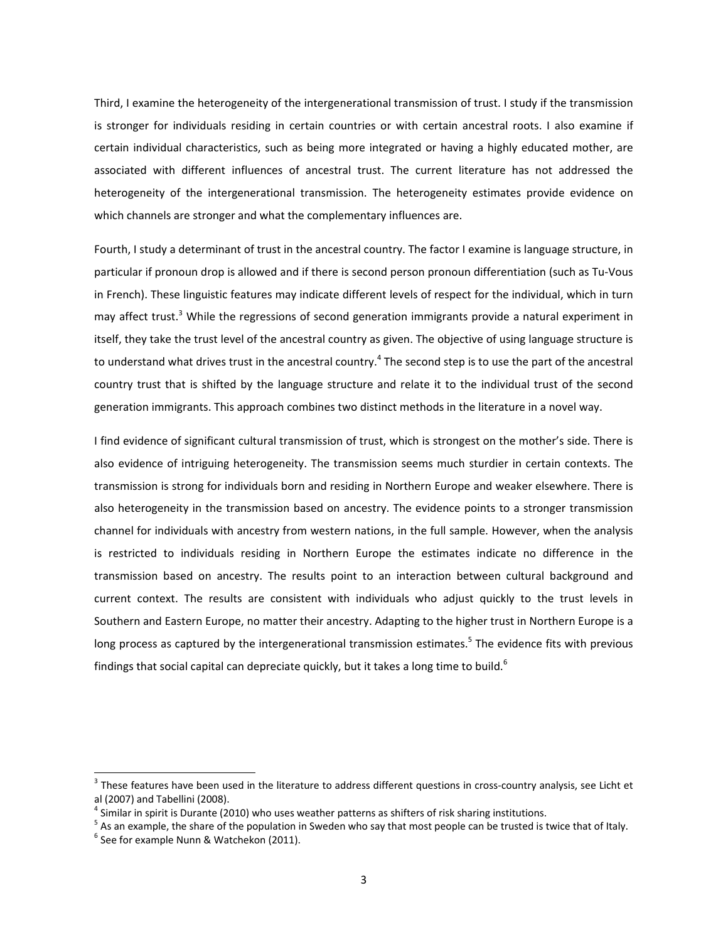Third, I examine the heterogeneity of the intergenerational transmission of trust. I study if the transmission is stronger for individuals residing in certain countries or with certain ancestral roots. I also examine if certain individual characteristics, such as being more integrated or having a highly educated mother, are associated with different influences of ancestral trust. The current literature has not addressed the heterogeneity of the intergenerational transmission. The heterogeneity estimates provide evidence on which channels are stronger and what the complementary influences are.

Fourth, I study a determinant of trust in the ancestral country. The factor I examine is language structure, in particular if pronoun drop is allowed and if there is second person pronoun differentiation (such as Tu‐Vous in French). These linguistic features may indicate different levels of respect for the individual, which in turn may affect trust.<sup>3</sup> While the regressions of second generation immigrants provide a natural experiment in itself, they take the trust level of the ancestral country as given. The objective of using language structure is to understand what drives trust in the ancestral country.<sup>4</sup> The second step is to use the part of the ancestral country trust that is shifted by the language structure and relate it to the individual trust of the second generation immigrants. This approach combines two distinct methods in the literature in a novel way.

I find evidence of significant cultural transmission of trust, which is strongest on the mother's side. There is also evidence of intriguing heterogeneity. The transmission seems much sturdier in certain contexts. The transmission is strong for individuals born and residing in Northern Europe and weaker elsewhere. There is also heterogeneity in the transmission based on ancestry. The evidence points to a stronger transmission channel for individuals with ancestry from western nations, in the full sample. However, when the analysis is restricted to individuals residing in Northern Europe the estimates indicate no difference in the transmission based on ancestry. The results point to an interaction between cultural background and current context. The results are consistent with individuals who adjust quickly to the trust levels in Southern and Eastern Europe, no matter their ancestry. Adapting to the higher trust in Northern Europe is a long process as captured by the intergenerational transmission estimates.<sup>5</sup> The evidence fits with previous findings that social capital can depreciate quickly, but it takes a long time to build.<sup>6</sup>

 $^3$  These features have been used in the literature to address different questions in cross-country analysis, see Licht et al (2007) and Tabellini (2008).<br><sup>4</sup> Similar in spirit is Durante (2010) who uses weather patterns as shifters of risk sharing institutions.<br><sup>5</sup> As an example, the share of the population in Sweden who say that most people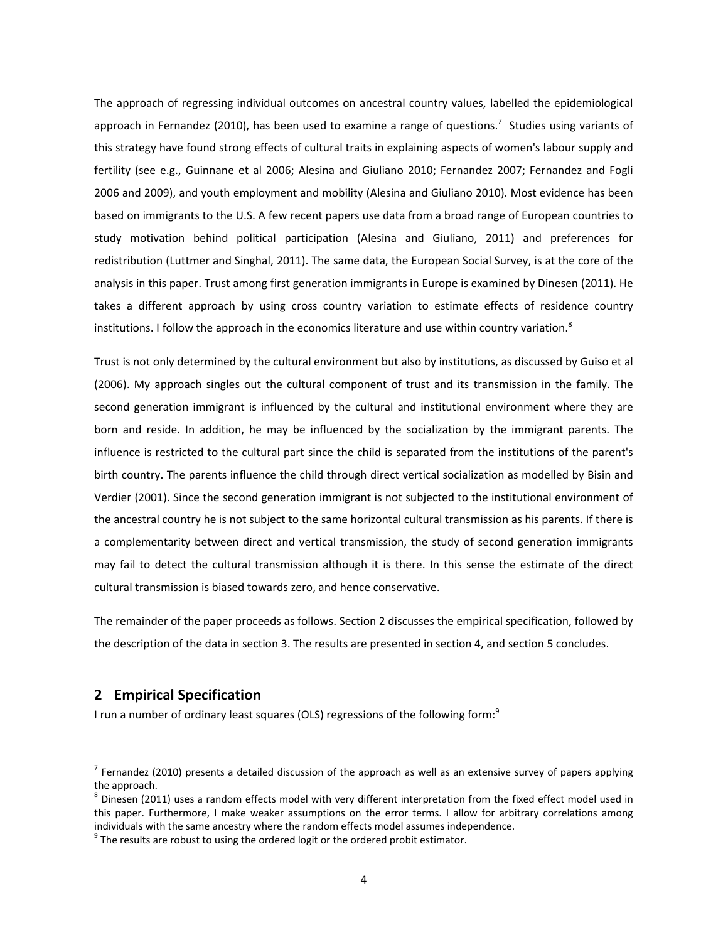The approach of regressing individual outcomes on ancestral country values, labelled the epidemiological approach in Fernandez (2010), has been used to examine a range of questions.<sup>7</sup> Studies using variants of this strategy have found strong effects of cultural traits in explaining aspects of women's labour supply and fertility (see e.g., Guinnane et al 2006; Alesina and Giuliano 2010; Fernandez 2007; Fernandez and Fogli 2006 and 2009), and youth employment and mobility (Alesina and Giuliano 2010). Most evidence has been based on immigrants to the U.S. A few recent papers use data from a broad range of European countries to study motivation behind political participation (Alesina and Giuliano, 2011) and preferences for redistribution (Luttmer and Singhal, 2011). The same data, the European Social Survey, is at the core of the analysis in this paper. Trust among first generation immigrants in Europe is examined by Dinesen (2011). He takes a different approach by using cross country variation to estimate effects of residence country institutions. I follow the approach in the economics literature and use within country variation.<sup>8</sup>

Trust is not only determined by the cultural environment but also by institutions, as discussed by Guiso et al (2006). My approach singles out the cultural component of trust and its transmission in the family. The second generation immigrant is influenced by the cultural and institutional environment where they are born and reside. In addition, he may be influenced by the socialization by the immigrant parents. The influence is restricted to the cultural part since the child is separated from the institutions of the parent's birth country. The parents influence the child through direct vertical socialization as modelled by Bisin and Verdier (2001). Since the second generation immigrant is not subjected to the institutional environment of the ancestral country he is not subject to the same horizontal cultural transmission as his parents. If there is a complementarity between direct and vertical transmission, the study of second generation immigrants may fail to detect the cultural transmission although it is there. In this sense the estimate of the direct cultural transmission is biased towards zero, and hence conservative.

The remainder of the paper proceeds as follows. Section 2 discusses the empirical specification, followed by the description of the data in section 3. The results are presented in section 4, and section 5 concludes.

## **2 Empirical Specification**

I run a number of ordinary least squares (OLS) regressions of the following form:<sup>9</sup>

 $<sup>7</sup>$  Fernandez (2010) presents a detailed discussion of the approach as well as an extensive survey of papers applying the approach.</sup>

 $8$  Dinesen (2011) uses a random effects model with very different interpretation from the fixed effect model used in this paper. Furthermore, I make weaker assumptions on the error terms. I allow for arbitrary correlations among individuals with the same ancestry where the random effects model assumes independence.  $9$  The results are robust to using the ordered logit or the ordered probit estimator.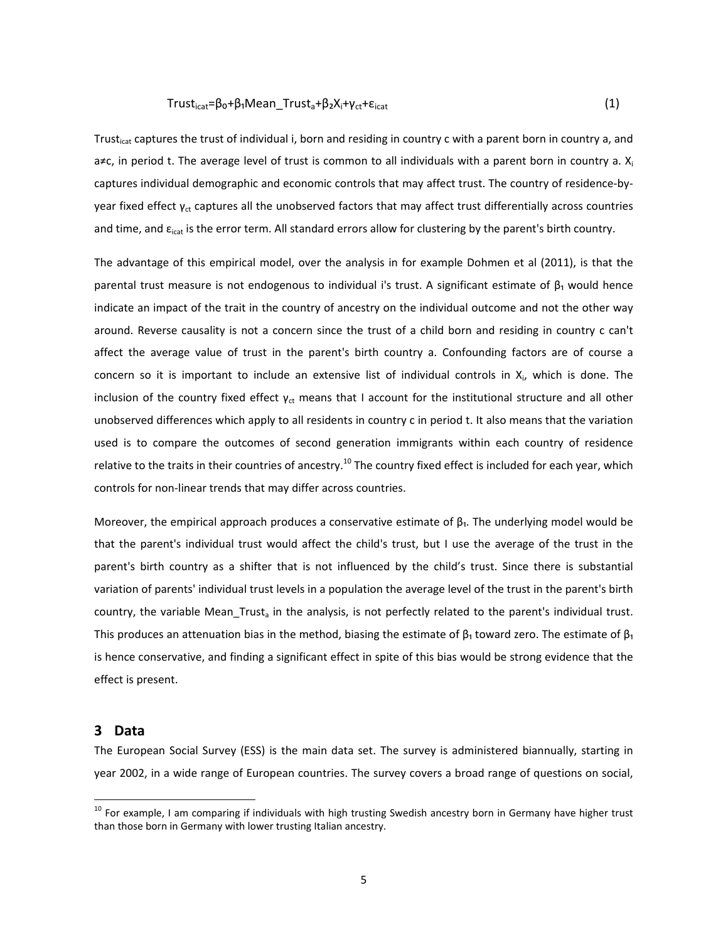#### $Trust<sub>icat</sub> = \beta_0 + \beta_1$ Mean  $Trust_a + \beta_2X_i + \gamma_{ct} + \epsilon_{icat}$  (1)

Trust<sub>icat</sub> captures the trust of individual i, born and residing in country c with a parent born in country a, and a≠c, in period t. The average level of trust is common to all individuals with a parent born in country a.  $X_i$ captures individual demographic and economic controls that may affect trust. The country of residence-byyear fixed effect  $\gamma_{ct}$  captures all the unobserved factors that may affect trust differentially across countries and time, and  $\epsilon_{\text{icat}}$  is the error term. All standard errors allow for clustering by the parent's birth country.

The advantage of this empirical model, over the analysis in for example Dohmen et al (2011), is that the parental trust measure is not endogenous to individual i's trust. A significant estimate of  $\beta_1$  would hence indicate an impact of the trait in the country of ancestry on the individual outcome and not the other way around. Reverse causality is not a concern since the trust of a child born and residing in country c can't affect the average value of trust in the parent's birth country a. Confounding factors are of course a concern so it is important to include an extensive list of individual controls in  $X_i$ , which is done. The inclusion of the country fixed effect  $y_{ct}$  means that I account for the institutional structure and all other unobserved differences which apply to all residents in country c in period t. It also means that the variation used is to compare the outcomes of second generation immigrants within each country of residence relative to the traits in their countries of ancestry.<sup>10</sup> The country fixed effect is included for each year, which controls for non‐linear trends that may differ across countries.

Moreover, the empirical approach produces a conservative estimate of  $\beta_1$ . The underlying model would be that the parent's individual trust would affect the child's trust, but I use the average of the trust in the parent's birth country as a shifter that is not influenced by the child's trust. Since there is substantial variation of parents' individual trust levels in a population the average level of the trust in the parent's birth country, the variable Mean Trust<sub>a</sub> in the analysis, is not perfectly related to the parent's individual trust. This produces an attenuation bias in the method, biasing the estimate of  $\beta_1$  toward zero. The estimate of  $\beta_1$ is hence conservative, and finding a significant effect in spite of this bias would be strong evidence that the effect is present.

#### **3 Data**

The European Social Survey (ESS) is the main data set. The survey is administered biannually, starting in year 2002, in a wide range of European countries. The survey covers a broad range of questions on social,

<sup>&</sup>lt;sup>10</sup> For example, I am comparing if individuals with high trusting Swedish ancestry born in Germany have higher trust than those born in Germany with lower trusting Italian ancestry.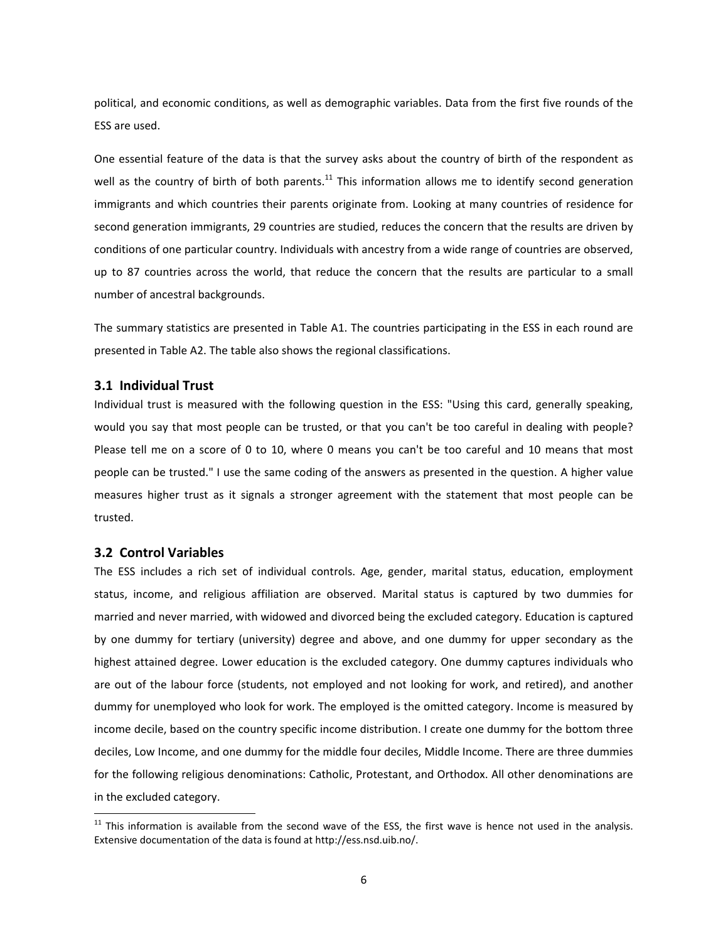political, and economic conditions, as well as demographic variables. Data from the first five rounds of the ESS are used.

One essential feature of the data is that the survey asks about the country of birth of the respondent as well as the country of birth of both parents.<sup>11</sup> This information allows me to identify second generation immigrants and which countries their parents originate from. Looking at many countries of residence for second generation immigrants, 29 countries are studied, reduces the concern that the results are driven by conditions of one particular country. Individuals with ancestry from a wide range of countries are observed, up to 87 countries across the world, that reduce the concern that the results are particular to a small number of ancestral backgrounds.

The summary statistics are presented in Table A1. The countries participating in the ESS in each round are presented in Table A2. The table also shows the regional classifications.

#### **3.1 Individual Trust**

Individual trust is measured with the following question in the ESS: "Using this card, generally speaking, would you say that most people can be trusted, or that you can't be too careful in dealing with people? Please tell me on a score of 0 to 10, where 0 means you can't be too careful and 10 means that most people can be trusted." I use the same coding of the answers as presented in the question. A higher value measures higher trust as it signals a stronger agreement with the statement that most people can be trusted.

#### **3.2 Control Variables**

The ESS includes a rich set of individual controls. Age, gender, marital status, education, employment status, income, and religious affiliation are observed. Marital status is captured by two dummies for married and never married, with widowed and divorced being the excluded category. Education is captured by one dummy for tertiary (university) degree and above, and one dummy for upper secondary as the highest attained degree. Lower education is the excluded category. One dummy captures individuals who are out of the labour force (students, not employed and not looking for work, and retired), and another dummy for unemployed who look for work. The employed is the omitted category. Income is measured by income decile, based on the country specific income distribution. I create one dummy for the bottom three deciles, Low Income, and one dummy for the middle four deciles, Middle Income. There are three dummies for the following religious denominations: Catholic, Protestant, and Orthodox. All other denominations are in the excluded category.

 $11$  This information is available from the second wave of the ESS, the first wave is hence not used in the analysis. Extensive documentation of the data is found at http://ess.nsd.uib.no/.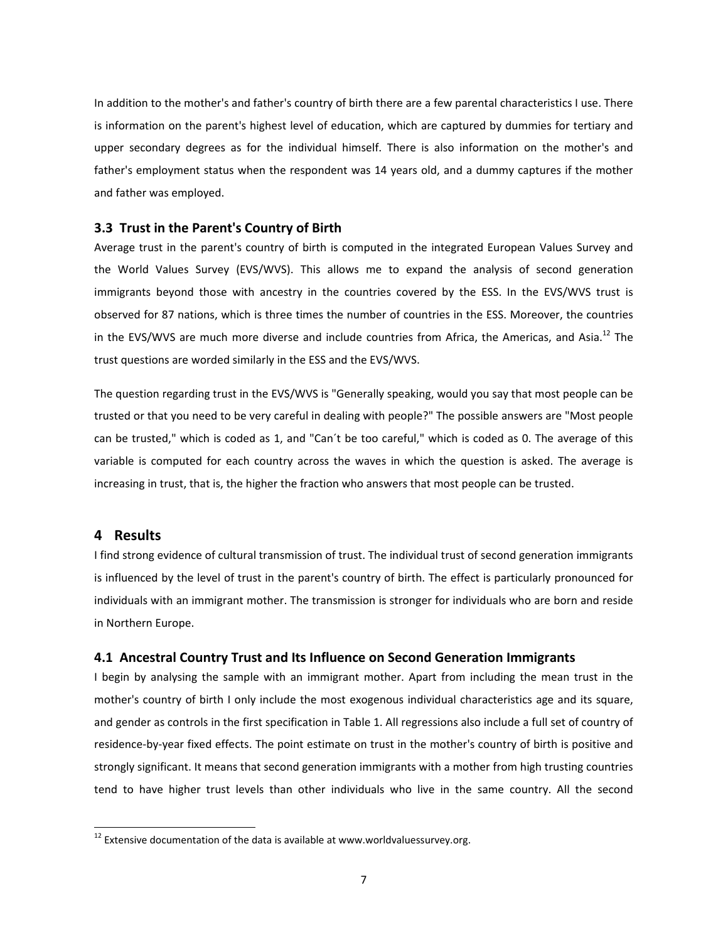In addition to the mother's and father's country of birth there are a few parental characteristics I use. There is information on the parent's highest level of education, which are captured by dummies for tertiary and upper secondary degrees as for the individual himself. There is also information on the mother's and father's employment status when the respondent was 14 years old, and a dummy captures if the mother and father was employed.

#### **3.3 Trust in the Parent's Country of Birth**

Average trust in the parent's country of birth is computed in the integrated European Values Survey and the World Values Survey (EVS/WVS). This allows me to expand the analysis of second generation immigrants beyond those with ancestry in the countries covered by the ESS. In the EVS/WVS trust is observed for 87 nations, which is three times the number of countries in the ESS. Moreover, the countries in the EVS/WVS are much more diverse and include countries from Africa, the Americas, and Asia.<sup>12</sup> The trust questions are worded similarly in the ESS and the EVS/WVS.

The question regarding trust in the EVS/WVS is "Generally speaking, would you say that most people can be trusted or that you need to be very careful in dealing with people?" The possible answers are "Most people can be trusted," which is coded as 1, and "Can´t be too careful," which is coded as 0. The average of this variable is computed for each country across the waves in which the question is asked. The average is increasing in trust, that is, the higher the fraction who answers that most people can be trusted.

## **4 Results**

I find strong evidence of cultural transmission of trust. The individual trust of second generation immigrants is influenced by the level of trust in the parent's country of birth. The effect is particularly pronounced for individuals with an immigrant mother. The transmission is stronger for individuals who are born and reside in Northern Europe.

#### **4.1 Ancestral Country Trust and Its Influence on Second Generation Immigrants**

I begin by analysing the sample with an immigrant mother. Apart from including the mean trust in the mother's country of birth I only include the most exogenous individual characteristics age and its square, and gender as controls in the first specification in Table 1. All regressions also include a full set of country of residence‐by‐year fixed effects. The point estimate on trust in the mother's country of birth is positive and strongly significant. It means that second generation immigrants with a mother from high trusting countries tend to have higher trust levels than other individuals who live in the same country. All the second

 $12$  Extensive documentation of the data is available at www.worldvaluessurvey.org.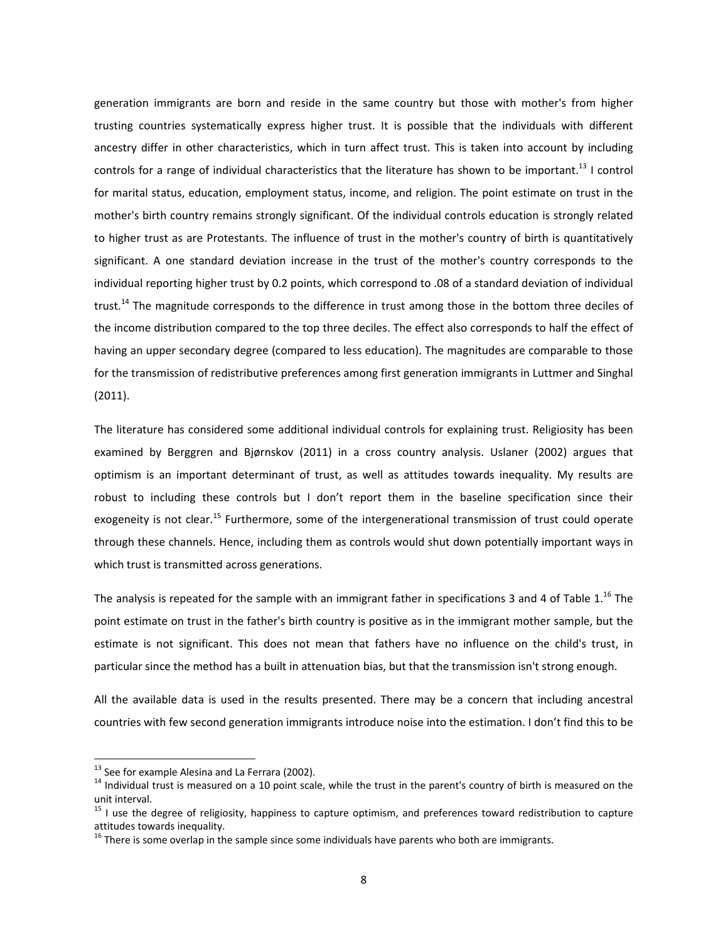generation immigrants are born and reside in the same country but those with mother's from higher trusting countries systematically express higher trust. It is possible that the individuals with different ancestry differ in other characteristics, which in turn affect trust. This is taken into account by including controls for a range of individual characteristics that the literature has shown to be important.<sup>13</sup> I control for marital status, education, employment status, income, and religion. The point estimate on trust in the mother's birth country remains strongly significant. Of the individual controls education is strongly related to higher trust as are Protestants. The influence of trust in the mother's country of birth is quantitatively significant. A one standard deviation increase in the trust of the mother's country corresponds to the individual reporting higher trust by 0.2 points, which correspond to .08 of a standard deviation of individual trust.<sup>14</sup> The magnitude corresponds to the difference in trust among those in the bottom three deciles of the income distribution compared to the top three deciles. The effect also corresponds to half the effect of having an upper secondary degree (compared to less education). The magnitudes are comparable to those for the transmission of redistributive preferences among first generation immigrants in Luttmer and Singhal (2011).

The literature has considered some additional individual controls for explaining trust. Religiosity has been examined by Berggren and Bjørnskov (2011) in a cross country analysis. Uslaner (2002) argues that optimism is an important determinant of trust, as well as attitudes towards inequality. My results are robust to including these controls but I don't report them in the baseline specification since their exogeneity is not clear.<sup>15</sup> Furthermore, some of the intergenerational transmission of trust could operate through these channels. Hence, including them as controls would shut down potentially important ways in which trust is transmitted across generations.

The analysis is repeated for the sample with an immigrant father in specifications 3 and 4 of Table 1.<sup>16</sup> The point estimate on trust in the father's birth country is positive as in the immigrant mother sample, but the estimate is not significant. This does not mean that fathers have no influence on the child's trust, in particular since the method has a built in attenuation bias, but that the transmission isn't strong enough.

All the available data is used in the results presented. There may be a concern that including ancestral countries with few second generation immigrants introduce noise into the estimation. I don't find this to be

<sup>&</sup>lt;sup>13</sup> See for example Alesina and La Ferrara (2002).<br><sup>14</sup> Individual trust is measured on a 10 point scale, while the trust in the parent's country of birth is measured on the unit interval.

 $15$  I use the degree of religiosity, happiness to capture optimism, and preferences toward redistribution to capture attitudes towards inequality.

 $16$  There is some overlap in the sample since some individuals have parents who both are immigrants.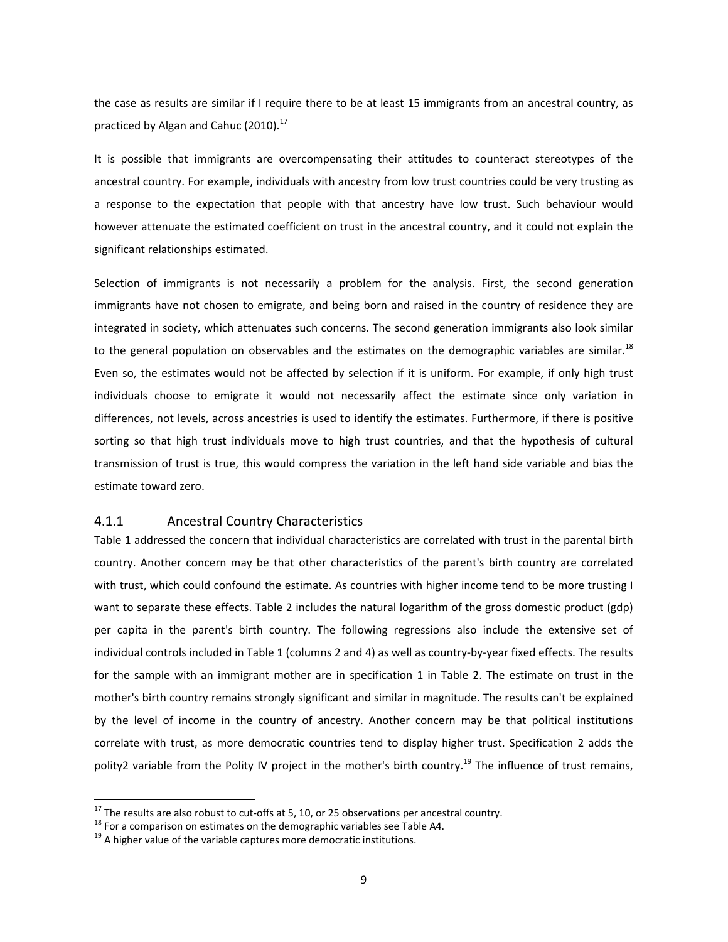the case as results are similar if I require there to be at least 15 immigrants from an ancestral country, as practiced by Algan and Cahuc  $(2010)^{17}$ 

It is possible that immigrants are overcompensating their attitudes to counteract stereotypes of the ancestral country. For example, individuals with ancestry from low trust countries could be very trusting as a response to the expectation that people with that ancestry have low trust. Such behaviour would however attenuate the estimated coefficient on trust in the ancestral country, and it could not explain the significant relationships estimated.

Selection of immigrants is not necessarily a problem for the analysis. First, the second generation immigrants have not chosen to emigrate, and being born and raised in the country of residence they are integrated in society, which attenuates such concerns. The second generation immigrants also look similar to the general population on observables and the estimates on the demographic variables are similar.<sup>18</sup> Even so, the estimates would not be affected by selection if it is uniform. For example, if only high trust individuals choose to emigrate it would not necessarily affect the estimate since only variation in differences, not levels, across ancestries is used to identify the estimates. Furthermore, if there is positive sorting so that high trust individuals move to high trust countries, and that the hypothesis of cultural transmission of trust is true, this would compress the variation in the left hand side variable and bias the estimate toward zero.

#### 4.1.1 Ancestral Country Characteristics

Table 1 addressed the concern that individual characteristics are correlated with trust in the parental birth country. Another concern may be that other characteristics of the parent's birth country are correlated with trust, which could confound the estimate. As countries with higher income tend to be more trusting I want to separate these effects. Table 2 includes the natural logarithm of the gross domestic product (gdp) per capita in the parent's birth country. The following regressions also include the extensive set of individual controls included in Table 1 (columns 2 and 4) as well as country‐by‐year fixed effects. The results for the sample with an immigrant mother are in specification 1 in Table 2. The estimate on trust in the mother's birth country remains strongly significant and similar in magnitude. The results can't be explained by the level of income in the country of ancestry. Another concern may be that political institutions correlate with trust, as more democratic countries tend to display higher trust. Specification 2 adds the polity2 variable from the Polity IV project in the mother's birth country.<sup>19</sup> The influence of trust remains,

 $17$  The results are also robust to cut-offs at 5, 10, or 25 observations per ancestral country.

<sup>&</sup>lt;sup>18</sup> For a comparison on estimates on the demographic variables see Table A4.<br><sup>19</sup> A higher value of the variable captures more democratic institutions.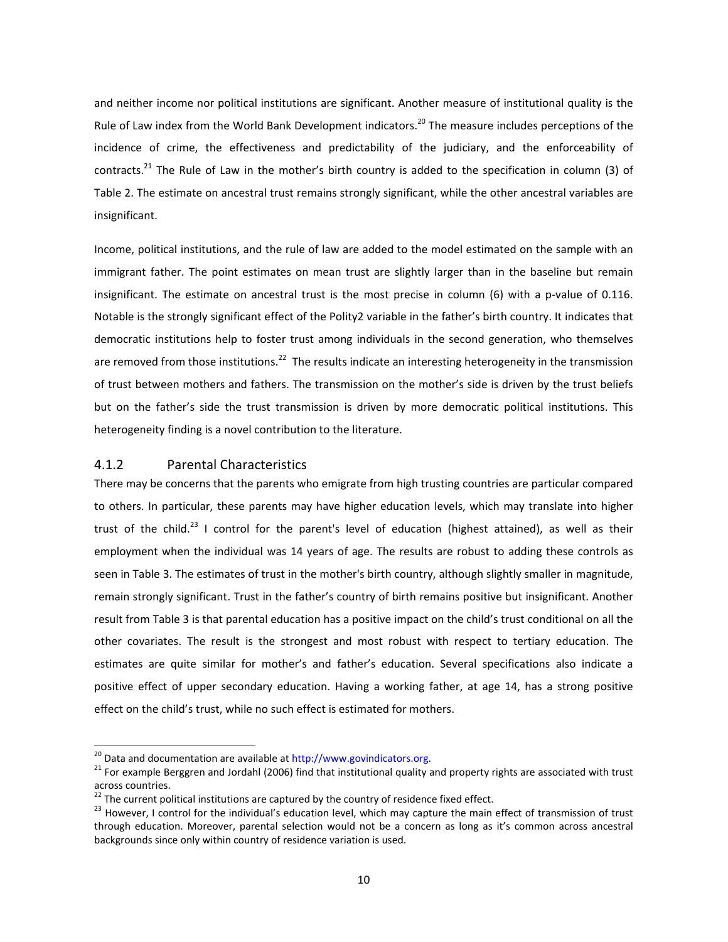and neither income nor political institutions are significant. Another measure of institutional quality is the Rule of Law index from the World Bank Development indicators.<sup>20</sup> The measure includes perceptions of the incidence of crime, the effectiveness and predictability of the judiciary, and the enforceability of contracts.<sup>21</sup> The Rule of Law in the mother's birth country is added to the specification in column (3) of Table 2. The estimate on ancestral trust remains strongly significant, while the other ancestral variables are insignificant.

Income, political institutions, and the rule of law are added to the model estimated on the sample with an immigrant father. The point estimates on mean trust are slightly larger than in the baseline but remain insignificant. The estimate on ancestral trust is the most precise in column (6) with a p-value of 0.116. Notable is the strongly significant effect of the Polity2 variable in the father's birth country. It indicates that democratic institutions help to foster trust among individuals in the second generation, who themselves are removed from those institutions.<sup>22</sup> The results indicate an interesting heterogeneity in the transmission of trust between mothers and fathers. The transmission on the mother's side is driven by the trust beliefs but on the father's side the trust transmission is driven by more democratic political institutions. This heterogeneity finding is a novel contribution to the literature.

## 4.1.2 Parental Characteristics

There may be concerns that the parents who emigrate from high trusting countries are particular compared to others. In particular, these parents may have higher education levels, which may translate into higher trust of the child.<sup>23</sup> I control for the parent's level of education (highest attained), as well as their employment when the individual was 14 years of age. The results are robust to adding these controls as seen in Table 3. The estimates of trust in the mother's birth country, although slightly smaller in magnitude, remain strongly significant. Trust in the father's country of birth remains positive but insignificant. Another result from Table 3 is that parental education has a positive impact on the child's trust conditional on all the other covariates. The result is the strongest and most robust with respect to tertiary education. The estimates are quite similar for mother's and father's education. Several specifications also indicate a positive effect of upper secondary education. Having a working father, at age 14, has a strong positive effect on the child's trust, while no such effect is estimated for mothers.

<sup>&</sup>lt;sup>20</sup> Data and documentation are available at http://www.govindicators.org.<br><sup>21</sup> For example Berggren and Jordahl (2006) find that institutional quality and property rights are associated with trust across countries.

 $^{22}$  The current political institutions are captured by the country of residence fixed effect.<br><sup>23</sup> However, I control for the individual's education level, which may capture the main effect of transmission of trust through education. Moreover, parental selection would not be a concern as long as it's common across ancestral backgrounds since only within country of residence variation is used.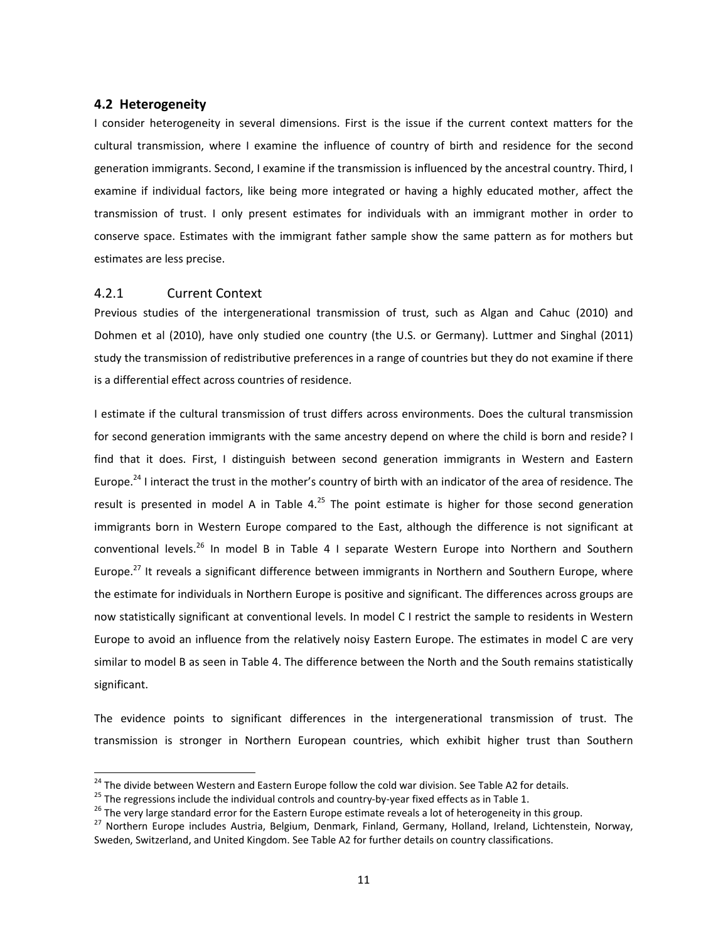#### **4.2 Heterogeneity**

I consider heterogeneity in several dimensions. First is the issue if the current context matters for the cultural transmission, where I examine the influence of country of birth and residence for the second generation immigrants. Second, I examine if the transmission is influenced by the ancestral country. Third, I examine if individual factors, like being more integrated or having a highly educated mother, affect the transmission of trust. I only present estimates for individuals with an immigrant mother in order to conserve space. Estimates with the immigrant father sample show the same pattern as for mothers but estimates are less precise.

#### 4.2.1 Current Context

Previous studies of the intergenerational transmission of trust, such as Algan and Cahuc (2010) and Dohmen et al (2010), have only studied one country (the U.S. or Germany). Luttmer and Singhal (2011) study the transmission of redistributive preferences in a range of countries but they do not examine if there is a differential effect across countries of residence.

I estimate if the cultural transmission of trust differs across environments. Does the cultural transmission for second generation immigrants with the same ancestry depend on where the child is born and reside? I find that it does. First, I distinguish between second generation immigrants in Western and Eastern Europe.<sup>24</sup> I interact the trust in the mother's country of birth with an indicator of the area of residence. The result is presented in model A in Table  $4.^{25}$  The point estimate is higher for those second generation immigrants born in Western Europe compared to the East, although the difference is not significant at conventional levels.<sup>26</sup> In model B in Table 4 I separate Western Europe into Northern and Southern Europe.<sup>27</sup> It reveals a significant difference between immigrants in Northern and Southern Europe, where the estimate for individuals in Northern Europe is positive and significant. The differences across groups are now statistically significant at conventional levels. In model C I restrict the sample to residents in Western Europe to avoid an influence from the relatively noisy Eastern Europe. The estimates in model C are very similar to model B as seen in Table 4. The difference between the North and the South remains statistically significant.

The evidence points to significant differences in the intergenerational transmission of trust. The transmission is stronger in Northern European countries, which exhibit higher trust than Southern

<sup>&</sup>lt;sup>24</sup> The divide between Western and Eastern Europe follow the cold war division. See Table A2 for details.

<sup>&</sup>lt;sup>25</sup> The regressions include the individual controls and country-by-year fixed effects as in Table 1.<br><sup>26</sup> The very large standard error for the Eastern Europe estimate reveals a lot of heterogeneity in this group.<br><sup>27</sup> N Sweden, Switzerland, and United Kingdom. See Table A2 for further details on country classifications.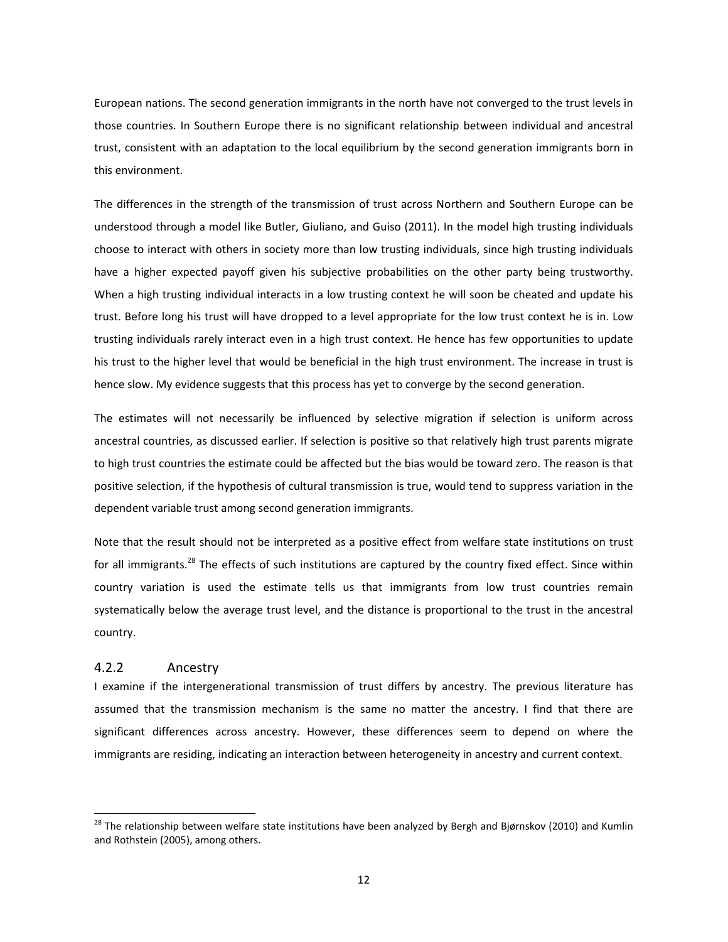European nations. The second generation immigrants in the north have not converged to the trust levels in those countries. In Southern Europe there is no significant relationship between individual and ancestral trust, consistent with an adaptation to the local equilibrium by the second generation immigrants born in this environment.

The differences in the strength of the transmission of trust across Northern and Southern Europe can be understood through a model like Butler, Giuliano, and Guiso (2011). In the model high trusting individuals choose to interact with others in society more than low trusting individuals, since high trusting individuals have a higher expected payoff given his subjective probabilities on the other party being trustworthy. When a high trusting individual interacts in a low trusting context he will soon be cheated and update his trust. Before long his trust will have dropped to a level appropriate for the low trust context he is in. Low trusting individuals rarely interact even in a high trust context. He hence has few opportunities to update his trust to the higher level that would be beneficial in the high trust environment. The increase in trust is hence slow. My evidence suggests that this process has yet to converge by the second generation.

The estimates will not necessarily be influenced by selective migration if selection is uniform across ancestral countries, as discussed earlier. If selection is positive so that relatively high trust parents migrate to high trust countries the estimate could be affected but the bias would be toward zero. The reason is that positive selection, if the hypothesis of cultural transmission is true, would tend to suppress variation in the dependent variable trust among second generation immigrants.

Note that the result should not be interpreted as a positive effect from welfare state institutions on trust for all immigrants.<sup>28</sup> The effects of such institutions are captured by the country fixed effect. Since within country variation is used the estimate tells us that immigrants from low trust countries remain systematically below the average trust level, and the distance is proportional to the trust in the ancestral country.

### 4.2.2 Ancestry

I examine if the intergenerational transmission of trust differs by ancestry. The previous literature has assumed that the transmission mechanism is the same no matter the ancestry. I find that there are significant differences across ancestry. However, these differences seem to depend on where the immigrants are residing, indicating an interaction between heterogeneity in ancestry and current context.

<sup>&</sup>lt;sup>28</sup> The relationship between welfare state institutions have been analyzed by Bergh and Bjørnskov (2010) and Kumlin and Rothstein (2005), among others.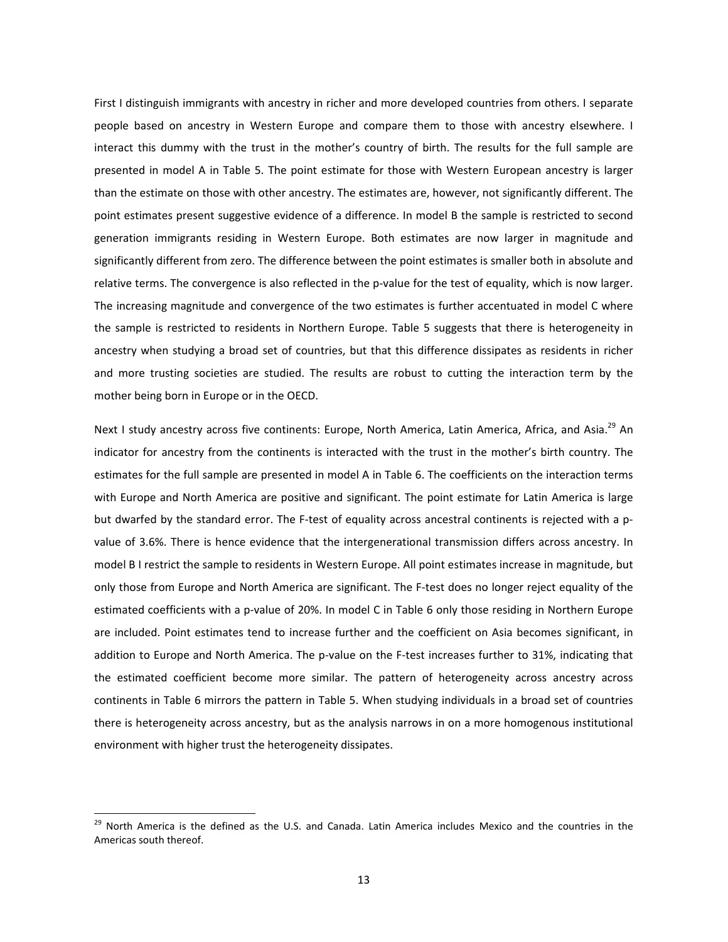First I distinguish immigrants with ancestry in richer and more developed countries from others. I separate people based on ancestry in Western Europe and compare them to those with ancestry elsewhere. I interact this dummy with the trust in the mother's country of birth. The results for the full sample are presented in model A in Table 5. The point estimate for those with Western European ancestry is larger than the estimate on those with other ancestry. The estimates are, however, not significantly different. The point estimates present suggestive evidence of a difference. In model B the sample is restricted to second generation immigrants residing in Western Europe. Both estimates are now larger in magnitude and significantly different from zero. The difference between the point estimates is smaller both in absolute and relative terms. The convergence is also reflected in the p-value for the test of equality, which is now larger. The increasing magnitude and convergence of the two estimates is further accentuated in model C where the sample is restricted to residents in Northern Europe. Table 5 suggests that there is heterogeneity in ancestry when studying a broad set of countries, but that this difference dissipates as residents in richer and more trusting societies are studied. The results are robust to cutting the interaction term by the mother being born in Europe or in the OECD.

Next I study ancestry across five continents: Europe, North America, Latin America, Africa, and Asia.<sup>29</sup> An indicator for ancestry from the continents is interacted with the trust in the mother's birth country. The estimates for the full sample are presented in model A in Table 6. The coefficients on the interaction terms with Europe and North America are positive and significant. The point estimate for Latin America is large but dwarfed by the standard error. The F‐test of equality across ancestral continents is rejected with a p‐ value of 3.6%. There is hence evidence that the intergenerational transmission differs across ancestry. In model B I restrict the sample to residents in Western Europe. All point estimates increase in magnitude, but only those from Europe and North America are significant. The F‐test does no longer reject equality of the estimated coefficients with a p-value of 20%. In model C in Table 6 only those residing in Northern Europe are included. Point estimates tend to increase further and the coefficient on Asia becomes significant, in addition to Europe and North America. The p‐value on the F‐test increases further to 31%, indicating that the estimated coefficient become more similar. The pattern of heterogeneity across ancestry across continents in Table 6 mirrors the pattern in Table 5. When studying individuals in a broad set of countries there is heterogeneity across ancestry, but as the analysis narrows in on a more homogenous institutional environment with higher trust the heterogeneity dissipates.

<sup>&</sup>lt;sup>29</sup> North America is the defined as the U.S. and Canada. Latin America includes Mexico and the countries in the Americas south thereof.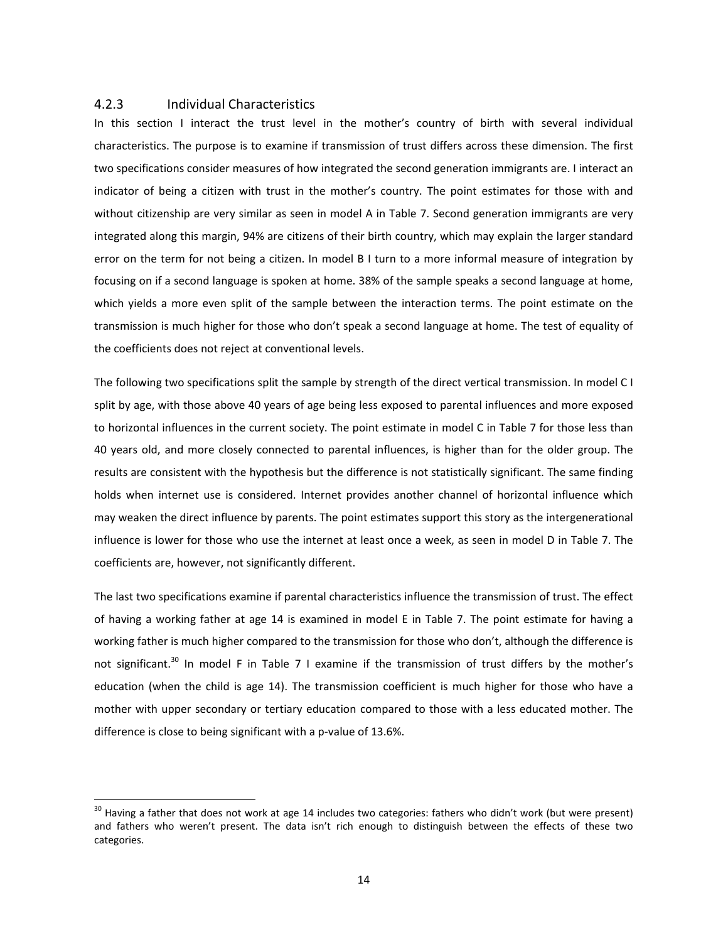#### 4.2.3 Individual Characteristics

In this section I interact the trust level in the mother's country of birth with several individual characteristics. The purpose is to examine if transmission of trust differs across these dimension. The first two specifications consider measures of how integrated the second generation immigrants are. I interact an indicator of being a citizen with trust in the mother's country. The point estimates for those with and without citizenship are very similar as seen in model A in Table 7. Second generation immigrants are very integrated along this margin, 94% are citizens of their birth country, which may explain the larger standard error on the term for not being a citizen. In model B I turn to a more informal measure of integration by focusing on if a second language is spoken at home. 38% of the sample speaks a second language at home, which yields a more even split of the sample between the interaction terms. The point estimate on the transmission is much higher for those who don't speak a second language at home. The test of equality of the coefficients does not reject at conventional levels.

The following two specifications split the sample by strength of the direct vertical transmission. In model C I split by age, with those above 40 years of age being less exposed to parental influences and more exposed to horizontal influences in the current society. The point estimate in model C in Table 7 for those less than 40 years old, and more closely connected to parental influences, is higher than for the older group. The results are consistent with the hypothesis but the difference is not statistically significant. The same finding holds when internet use is considered. Internet provides another channel of horizontal influence which may weaken the direct influence by parents. The point estimates support this story as the intergenerational influence is lower for those who use the internet at least once a week, as seen in model D in Table 7. The coefficients are, however, not significantly different.

The last two specifications examine if parental characteristics influence the transmission of trust. The effect of having a working father at age 14 is examined in model E in Table 7. The point estimate for having a working father is much higher compared to the transmission for those who don't, although the difference is not significant.<sup>30</sup> In model F in Table 7 I examine if the transmission of trust differs by the mother's education (when the child is age 14). The transmission coefficient is much higher for those who have a mother with upper secondary or tertiary education compared to those with a less educated mother. The difference is close to being significant with a p‐value of 13.6%.

 $30$  Having a father that does not work at age 14 includes two categories: fathers who didn't work (but were present) and fathers who weren't present. The data isn't rich enough to distinguish between the effects of these two categories.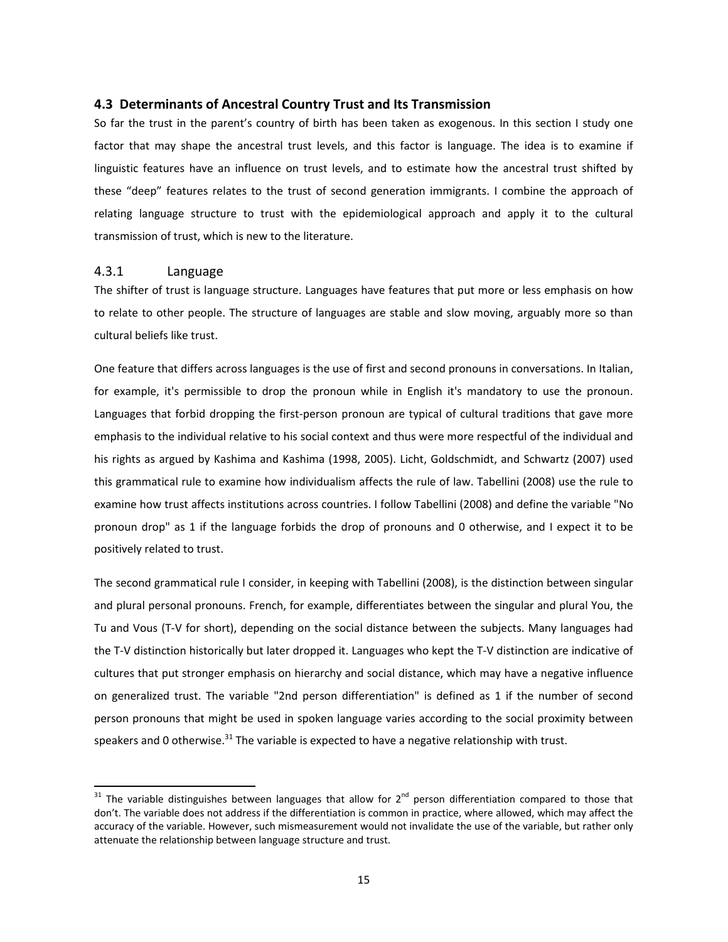#### **4.3 Determinants of Ancestral Country Trust and Its Transmission**

So far the trust in the parent's country of birth has been taken as exogenous. In this section I study one factor that may shape the ancestral trust levels, and this factor is language. The idea is to examine if linguistic features have an influence on trust levels, and to estimate how the ancestral trust shifted by these "deep" features relates to the trust of second generation immigrants. I combine the approach of relating language structure to trust with the epidemiological approach and apply it to the cultural transmission of trust, which is new to the literature.

### 4.3.1 Language

The shifter of trust is language structure. Languages have features that put more or less emphasis on how to relate to other people. The structure of languages are stable and slow moving, arguably more so than cultural beliefs like trust.

One feature that differs across languages is the use of first and second pronouns in conversations. In Italian, for example, it's permissible to drop the pronoun while in English it's mandatory to use the pronoun. Languages that forbid dropping the first‐person pronoun are typical of cultural traditions that gave more emphasis to the individual relative to his social context and thus were more respectful of the individual and his rights as argued by Kashima and Kashima (1998, 2005). Licht, Goldschmidt, and Schwartz (2007) used this grammatical rule to examine how individualism affects the rule of law. Tabellini (2008) use the rule to examine how trust affects institutions across countries. I follow Tabellini (2008) and define the variable "No pronoun drop" as 1 if the language forbids the drop of pronouns and 0 otherwise, and I expect it to be positively related to trust.

The second grammatical rule I consider, in keeping with Tabellini (2008), is the distinction between singular and plural personal pronouns. French, for example, differentiates between the singular and plural You, the Tu and Vous (T‐V for short), depending on the social distance between the subjects. Many languages had the T‐V distinction historically but later dropped it. Languages who kept the T‐V distinction are indicative of cultures that put stronger emphasis on hierarchy and social distance, which may have a negative influence on generalized trust. The variable "2nd person differentiation" is defined as 1 if the number of second person pronouns that might be used in spoken language varies according to the social proximity between speakers and 0 otherwise.<sup>31</sup> The variable is expected to have a negative relationship with trust.

 $31$  The variable distinguishes between languages that allow for 2<sup>nd</sup> person differentiation compared to those that don't. The variable does not address if the differentiation is common in practice, where allowed, which may affect the accuracy of the variable. However, such mismeasurement would not invalidate the use of the variable, but rather only attenuate the relationship between language structure and trust.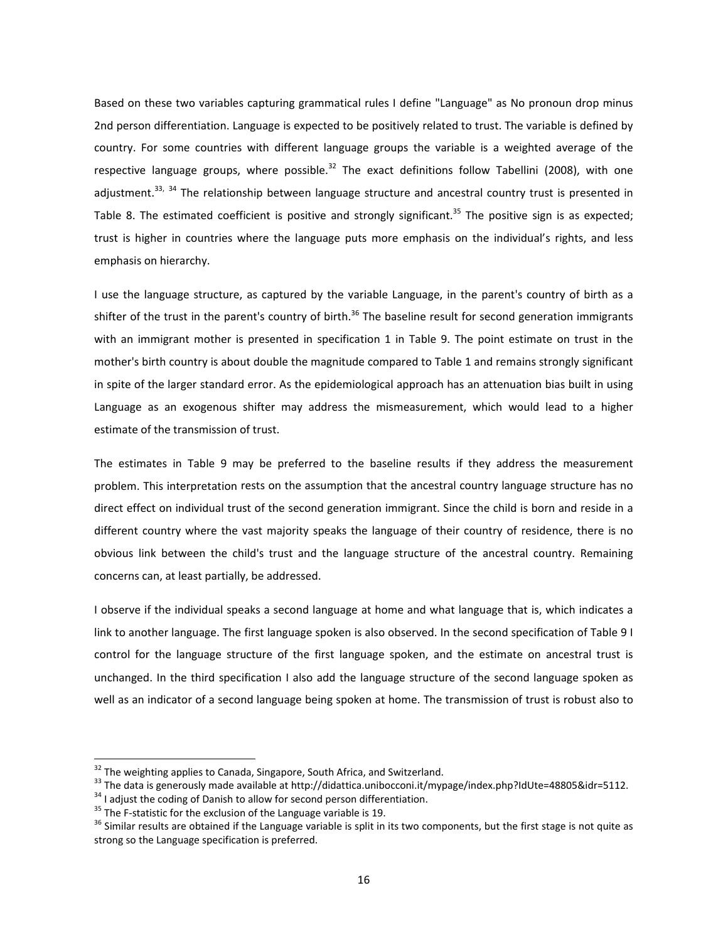Based on these two variables capturing grammatical rules I define "Language" as No pronoun drop minus 2nd person differentiation. Language is expected to be positively related to trust. The variable is defined by country. For some countries with different language groups the variable is a weighted average of the respective language groups, where possible.<sup>32</sup> The exact definitions follow Tabellini (2008), with one adjustment.<sup>33, 34</sup> The relationship between language structure and ancestral country trust is presented in Table 8. The estimated coefficient is positive and strongly significant.<sup>35</sup> The positive sign is as expected; trust is higher in countries where the language puts more emphasis on the individual's rights, and less emphasis on hierarchy.

I use the language structure, as captured by the variable Language, in the parent's country of birth as a shifter of the trust in the parent's country of birth.<sup>36</sup> The baseline result for second generation immigrants with an immigrant mother is presented in specification 1 in Table 9. The point estimate on trust in the mother's birth country is about double the magnitude compared to Table 1 and remains strongly significant in spite of the larger standard error. As the epidemiological approach has an attenuation bias built in using Language as an exogenous shifter may address the mismeasurement, which would lead to a higher estimate of the transmission of trust.

The estimates in Table 9 may be preferred to the baseline results if they address the measurement problem. This interpretation rests on the assumption that the ancestral country language structure has no direct effect on individual trust of the second generation immigrant. Since the child is born and reside in a different country where the vast majority speaks the language of their country of residence, there is no obvious link between the child's trust and the language structure of the ancestral country. Remaining concerns can, at least partially, be addressed.

I observe if the individual speaks a second language at home and what language that is, which indicates a link to another language. The first language spoken is also observed. In the second specification of Table 9 I control for the language structure of the first language spoken, and the estimate on ancestral trust is unchanged. In the third specification I also add the language structure of the second language spoken as well as an indicator of a second language being spoken at home. The transmission of trust is robust also to

<sup>&</sup>lt;sup>32</sup> The weighting applies to Canada, Singapore, South Africa, and Switzerland.<br><sup>33</sup> The data is generously made available at http://didattica.unibocconi.it/mypage/index.php?IdUte=48805&idr=5112.<br><sup>34</sup> I adjust the coding

strong so the Language specification is preferred.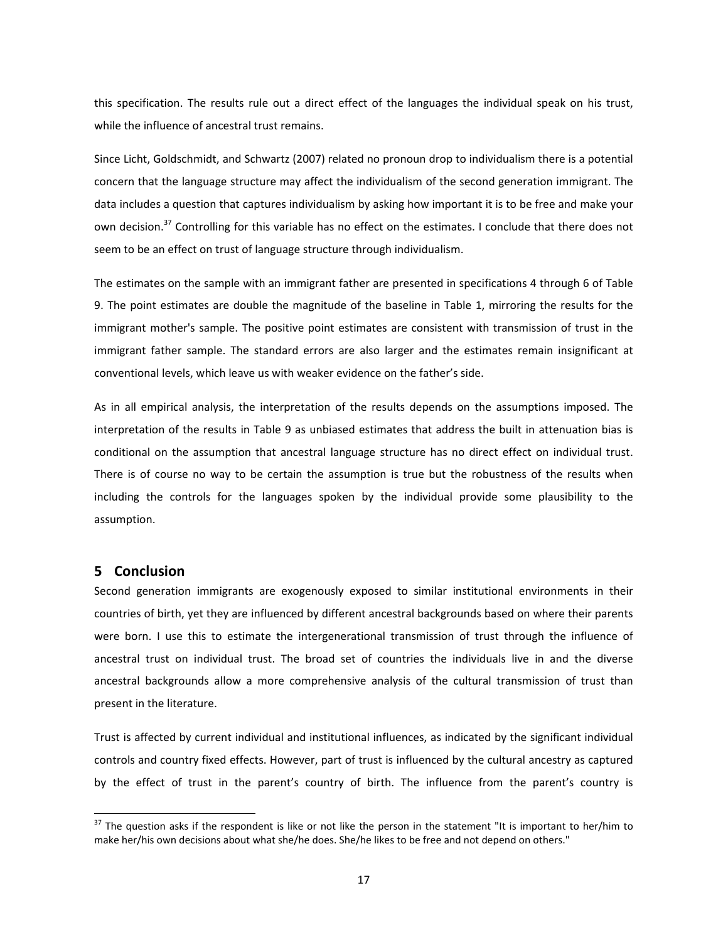this specification. The results rule out a direct effect of the languages the individual speak on his trust, while the influence of ancestral trust remains.

Since Licht, Goldschmidt, and Schwartz (2007) related no pronoun drop to individualism there is a potential concern that the language structure may affect the individualism of the second generation immigrant. The data includes a question that captures individualism by asking how important it is to be free and make your own decision.<sup>37</sup> Controlling for this variable has no effect on the estimates. I conclude that there does not seem to be an effect on trust of language structure through individualism.

The estimates on the sample with an immigrant father are presented in specifications 4 through 6 of Table 9. The point estimates are double the magnitude of the baseline in Table 1, mirroring the results for the immigrant mother's sample. The positive point estimates are consistent with transmission of trust in the immigrant father sample. The standard errors are also larger and the estimates remain insignificant at conventional levels, which leave us with weaker evidence on the father's side.

As in all empirical analysis, the interpretation of the results depends on the assumptions imposed. The interpretation of the results in Table 9 as unbiased estimates that address the built in attenuation bias is conditional on the assumption that ancestral language structure has no direct effect on individual trust. There is of course no way to be certain the assumption is true but the robustness of the results when including the controls for the languages spoken by the individual provide some plausibility to the assumption.

#### **5 Conclusion**

Second generation immigrants are exogenously exposed to similar institutional environments in their countries of birth, yet they are influenced by different ancestral backgrounds based on where their parents were born. I use this to estimate the intergenerational transmission of trust through the influence of ancestral trust on individual trust. The broad set of countries the individuals live in and the diverse ancestral backgrounds allow a more comprehensive analysis of the cultural transmission of trust than present in the literature.

Trust is affected by current individual and institutional influences, as indicated by the significant individual controls and country fixed effects. However, part of trust is influenced by the cultural ancestry as captured by the effect of trust in the parent's country of birth. The influence from the parent's country is

 $37$  The question asks if the respondent is like or not like the person in the statement "It is important to her/him to make her/his own decisions about what she/he does. She/he likes to be free and not depend on others."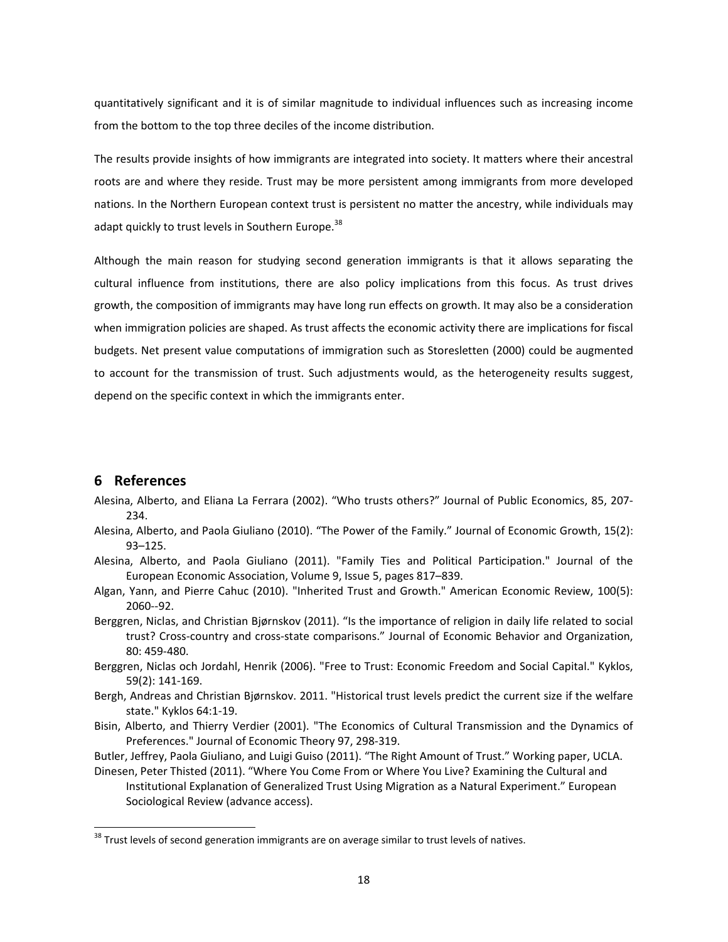quantitatively significant and it is of similar magnitude to individual influences such as increasing income from the bottom to the top three deciles of the income distribution.

The results provide insights of how immigrants are integrated into society. It matters where their ancestral roots are and where they reside. Trust may be more persistent among immigrants from more developed nations. In the Northern European context trust is persistent no matter the ancestry, while individuals may adapt quickly to trust levels in Southern Europe.<sup>38</sup>

Although the main reason for studying second generation immigrants is that it allows separating the cultural influence from institutions, there are also policy implications from this focus. As trust drives growth, the composition of immigrants may have long run effects on growth. It may also be a consideration when immigration policies are shaped. As trust affects the economic activity there are implications for fiscal budgets. Net present value computations of immigration such as Storesletten (2000) could be augmented to account for the transmission of trust. Such adjustments would, as the heterogeneity results suggest, depend on the specific context in which the immigrants enter.

# **6 References**

- Alesina, Alberto, and Eliana La Ferrara (2002). "Who trusts others?" Journal of Public Economics, 85, 207‐ 234.
- Alesina, Alberto, and Paola Giuliano (2010). "The Power of the Family." Journal of Economic Growth, 15(2): 93–125.
- Alesina, Alberto, and Paola Giuliano (2011). "Family Ties and Political Participation." Journal of the European Economic Association, Volume 9, Issue 5, pages 817–839.
- Algan, Yann, and Pierre Cahuc (2010). "Inherited Trust and Growth." American Economic Review, 100(5): 2060‐‐92.
- Berggren, Niclas, and Christian Bjørnskov (2011). "Is the importance of religion in daily life related to social trust? Cross‐country and cross‐state comparisons." Journal of Economic Behavior and Organization, 80: 459‐480.
- Berggren, Niclas och Jordahl, Henrik (2006). "Free to Trust: Economic Freedom and Social Capital." Kyklos, 59(2): 141‐169.
- Bergh, Andreas and Christian Bjørnskov. 2011. "Historical trust levels predict the current size if the welfare state." Kyklos 64:1‐19.
- Bisin, Alberto, and Thierry Verdier (2001). "The Economics of Cultural Transmission and the Dynamics of Preferences." Journal of Economic Theory 97, 298‐319.
- Butler, Jeffrey, Paola Giuliano, and Luigi Guiso (2011). "The Right Amount of Trust." Working paper, UCLA.

Dinesen, Peter Thisted (2011). "Where You Come From or Where You Live? Examining the Cultural and Institutional Explanation of Generalized Trust Using Migration as a Natural Experiment." European Sociological Review (advance access).

 $38$  Trust levels of second generation immigrants are on average similar to trust levels of natives.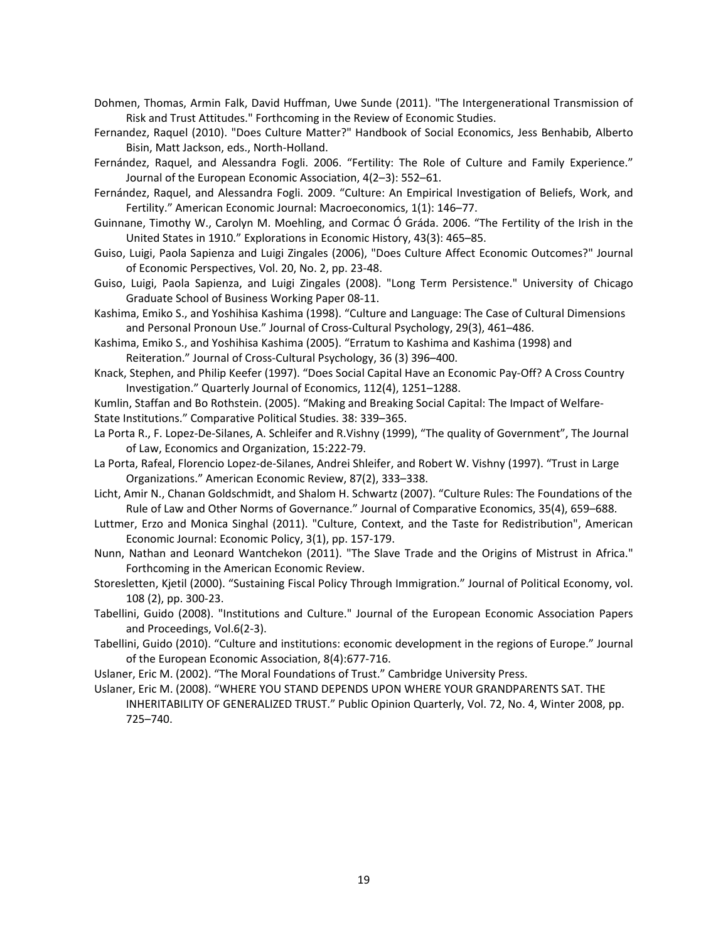- Dohmen, Thomas, Armin Falk, David Huffman, Uwe Sunde (2011). "The Intergenerational Transmission of Risk and Trust Attitudes." Forthcoming in the Review of Economic Studies.
- Fernandez, Raquel (2010). "Does Culture Matter?" Handbook of Social Economics, Jess Benhabib, Alberto Bisin, Matt Jackson, eds., North‐Holland.
- Fernández, Raquel, and Alessandra Fogli. 2006. "Fertility: The Role of Culture and Family Experience." Journal of the European Economic Association, 4(2–3): 552–61.
- Fernández, Raquel, and Alessandra Fogli. 2009. "Culture: An Empirical Investigation of Beliefs, Work, and Fertility." American Economic Journal: Macroeconomics, 1(1): 146–77.
- Guinnane, Timothy W., Carolyn M. Moehling, and Cormac Ó Gráda. 2006. "The Fertility of the Irish in the United States in 1910." Explorations in Economic History, 43(3): 465–85.
- Guiso, Luigi, Paola Sapienza and Luigi Zingales (2006), "Does Culture Affect Economic Outcomes?" Journal of Economic Perspectives, Vol. 20, No. 2, pp. 23‐48.
- Guiso, Luigi, Paola Sapienza, and Luigi Zingales (2008). "Long Term Persistence." University of Chicago Graduate School of Business Working Paper 08‐11.
- Kashima, Emiko S., and Yoshihisa Kashima (1998). "Culture and Language: The Case of Cultural Dimensions and Personal Pronoun Use." Journal of Cross‐Cultural Psychology, 29(3), 461–486.
- Kashima, Emiko S., and Yoshihisa Kashima (2005). "Erratum to Kashima and Kashima (1998) and Reiteration." Journal of Cross‐Cultural Psychology, 36 (3) 396–400.
- Knack, Stephen, and Philip Keefer (1997). "Does Social Capital Have an Economic Pay‐Off? A Cross Country Investigation." Quarterly Journal of Economics, 112(4), 1251–1288.
- Kumlin, Staffan and Bo Rothstein. (2005). "Making and Breaking Social Capital: The Impact of Welfare‐ State Institutions." Comparative Political Studies. 38: 339–365.
- La Porta R., F. Lopez‐De‐Silanes, A. Schleifer and R.Vishny (1999), "The quality of Government", The Journal of Law, Economics and Organization, 15:222‐79.
- La Porta, Rafeal, Florencio Lopez‐de‐Silanes, Andrei Shleifer, and Robert W. Vishny (1997). "Trust in Large Organizations." American Economic Review, 87(2), 333–338.
- Licht, Amir N., Chanan Goldschmidt, and Shalom H. Schwartz (2007). "Culture Rules: The Foundations of the Rule of Law and Other Norms of Governance." Journal of Comparative Economics, 35(4), 659–688.
- Luttmer, Erzo and Monica Singhal (2011). "Culture, Context, and the Taste for Redistribution", American Economic Journal: Economic Policy, 3(1), pp. 157‐179.
- Nunn, Nathan and Leonard Wantchekon (2011). "The Slave Trade and the Origins of Mistrust in Africa." Forthcoming in the American Economic Review.
- Storesletten, Kjetil (2000). "Sustaining Fiscal Policy Through Immigration." Journal of Political Economy, vol. 108 (2), pp. 300‐23.
- Tabellini, Guido (2008). "Institutions and Culture." Journal of the European Economic Association Papers and Proceedings, Vol.6(2‐3).
- Tabellini, Guido (2010). "Culture and institutions: economic development in the regions of Europe." Journal of the European Economic Association, 8(4):677‐716.
- Uslaner, Eric M. (2002). "The Moral Foundations of Trust." Cambridge University Press.

Uslaner, Eric M. (2008). "WHERE YOU STAND DEPENDS UPON WHERE YOUR GRANDPARENTS SAT. THE INHERITABILITY OF GENERALIZED TRUST." Public Opinion Quarterly, Vol. 72, No. 4, Winter 2008, pp. 725–740.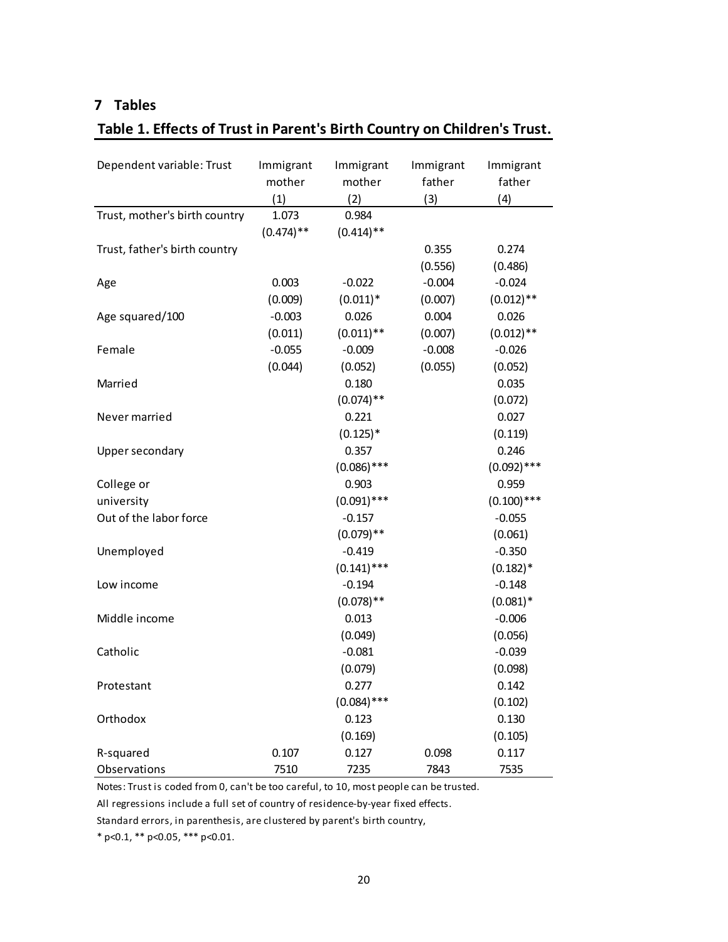# **7 Tables**

# **Table 1. Effects of Trust in Parent's Birth Country on Children's Trust.**

| Dependent variable: Trust     | Immigrant<br>mother<br>(1) | Immigrant<br>mother<br>(2) | Immigrant<br>father<br>(3) | Immigrant<br>father<br>(4) |
|-------------------------------|----------------------------|----------------------------|----------------------------|----------------------------|
| Trust, mother's birth country | 1.073<br>$(0.474)$ **      | 0.984<br>$(0.414)$ **      |                            |                            |
| Trust, father's birth country |                            |                            | 0.355                      | 0.274                      |
|                               |                            |                            | (0.556)                    | (0.486)                    |
| Age                           | 0.003                      | $-0.022$                   | $-0.004$                   | $-0.024$                   |
|                               | (0.009)                    | $(0.011)*$                 | (0.007)                    | $(0.012)$ **               |
| Age squared/100               | $-0.003$                   | 0.026                      | 0.004                      | 0.026                      |
|                               | (0.011)                    | $(0.011)$ **               | (0.007)                    | $(0.012)$ **               |
| Female                        | $-0.055$                   | $-0.009$                   | $-0.008$                   | $-0.026$                   |
|                               | (0.044)                    | (0.052)                    | (0.055)                    | (0.052)                    |
| Married                       |                            | 0.180                      |                            | 0.035                      |
|                               |                            | $(0.074)$ **               |                            | (0.072)                    |
| Never married                 |                            | 0.221                      |                            | 0.027                      |
|                               |                            | $(0.125)$ *                |                            | (0.119)                    |
| Upper secondary               |                            | 0.357                      |                            | 0.246                      |
|                               |                            | $(0.086)$ ***              |                            | $(0.092)$ ***              |
| College or                    |                            | 0.903                      |                            | 0.959                      |
| university                    |                            | $(0.091)$ ***              |                            | $(0.100)$ ***              |
| Out of the labor force        |                            | $-0.157$                   |                            | $-0.055$                   |
|                               |                            | $(0.079)$ **               |                            | (0.061)                    |
| Unemployed                    |                            | $-0.419$                   |                            | $-0.350$                   |
|                               |                            | $(0.141)$ ***              |                            | $(0.182)*$                 |
| Low income                    |                            | $-0.194$                   |                            | $-0.148$                   |
|                               |                            | $(0.078)$ **               |                            | $(0.081)$ *                |
| Middle income                 |                            | 0.013                      |                            | $-0.006$                   |
|                               |                            | (0.049)                    |                            | (0.056)                    |
| Catholic                      |                            | $-0.081$                   |                            | $-0.039$                   |
|                               |                            | (0.079)                    |                            | (0.098)                    |
| Protestant                    |                            | 0.277                      |                            | 0.142                      |
|                               |                            | $(0.084)$ ***              |                            | (0.102)                    |
| Orthodox                      |                            | 0.123                      |                            | 0.130                      |
|                               |                            | (0.169)                    |                            | (0.105)                    |
| R-squared                     | 0.107                      | 0.127                      | 0.098                      | 0.117                      |
| Observations                  | 7510                       | 7235                       | 7843                       | 7535                       |

Notes: Trust is coded from 0, can't be too careful, to 10, most people can be trusted.

All regressions include a full set of country of residence‐by‐year fixed effects.

Standard errors, in parenthesis, are clustered by parent's birth country,

\* p<0.1, \*\* p<0.05, \*\*\* p<0.01.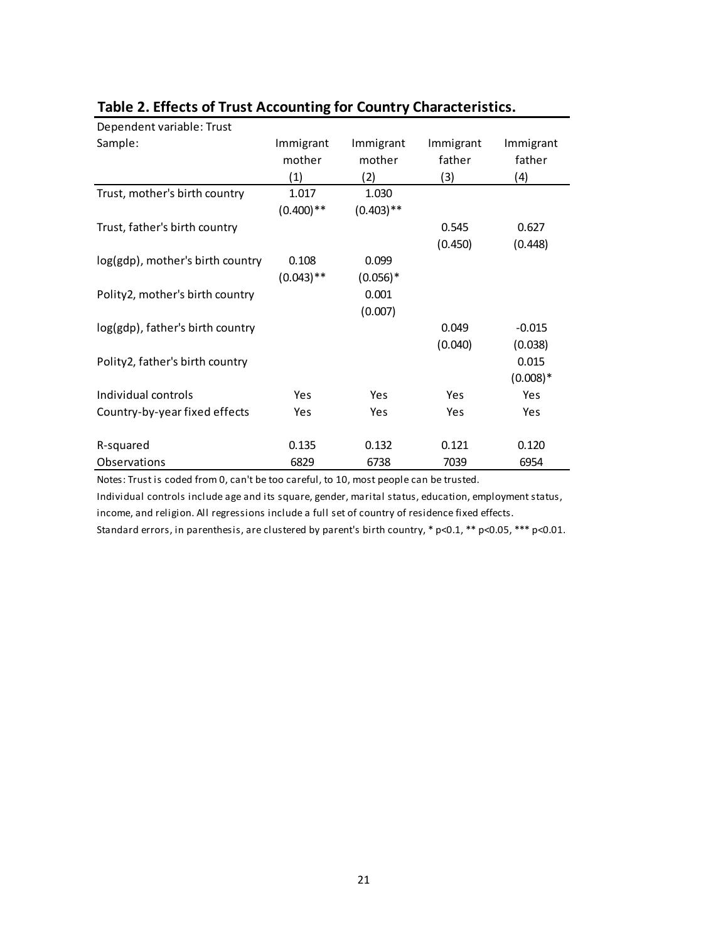| Dependent variable: Trust        |              |              |           |            |
|----------------------------------|--------------|--------------|-----------|------------|
| Sample:                          | Immigrant    | Immigrant    | Immigrant | Immigrant  |
|                                  | mother       | mother       | father    | father     |
|                                  | (1)          | (2)          | (3)       | (4)        |
| Trust, mother's birth country    | 1.017        | 1.030        |           |            |
|                                  | $(0.400)$ ** | $(0.403)$ ** |           |            |
| Trust, father's birth country    |              |              | 0.545     | 0.627      |
|                                  |              |              | (0.450)   | (0.448)    |
| log(gdp), mother's birth country | 0.108        | 0.099        |           |            |
|                                  | $(0.043)$ ** | $(0.056)^*$  |           |            |
| Polity2, mother's birth country  |              | 0.001        |           |            |
|                                  |              | (0.007)      |           |            |
| log(gdp), father's birth country |              |              | 0.049     | $-0.015$   |
|                                  |              |              | (0.040)   | (0.038)    |
| Polity2, father's birth country  |              |              |           | 0.015      |
|                                  |              |              |           | $(0.008)*$ |
| Individual controls              | Yes          | Yes          | Yes       | Yes        |
| Country-by-year fixed effects    | Yes          | Yes          | Yes       | Yes        |
|                                  |              |              |           |            |
| R-squared                        | 0.135        | 0.132        | 0.121     | 0.120      |
| Observations                     | 6829         | 6738         | 7039      | 6954       |

# **Table 2. Effects of Trust Accounting for Country Characteristics.**

Notes: Trust is coded from 0, can't be too careful, to 10, most people can be trusted.

Individual controls include age and its square, gender, marital status, education, employment status, income, and religion. All regressions include a full set of country of residence fixed effects.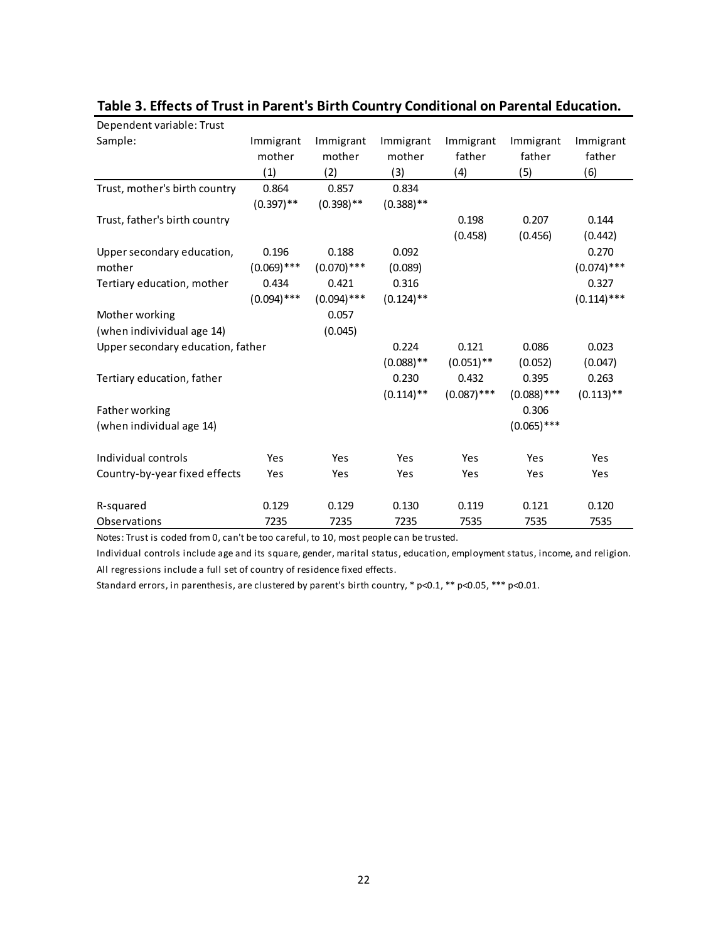| Dependent variable: Trust         |               |               |              |               |               |               |
|-----------------------------------|---------------|---------------|--------------|---------------|---------------|---------------|
| Sample:                           | Immigrant     | Immigrant     | Immigrant    | Immigrant     | Immigrant     | Immigrant     |
|                                   | mother        | mother        | mother       | father        | father        | father        |
|                                   | (1)           | (2)           | (3)          | (4)           | (5)           | (6)           |
| Trust, mother's birth country     | 0.864         | 0.857         | 0.834        |               |               |               |
|                                   | $(0.397)$ **  | $(0.398)$ **  | $(0.388)$ ** |               |               |               |
| Trust, father's birth country     |               |               |              | 0.198         | 0.207         | 0.144         |
|                                   |               |               |              | (0.458)       | (0.456)       | (0.442)       |
| Upper secondary education,        | 0.196         | 0.188         | 0.092        |               |               | 0.270         |
| mother                            | $(0.069)$ *** | $(0.070)$ *** | (0.089)      |               |               | $(0.074)$ *** |
| Tertiary education, mother        | 0.434         | 0.421         | 0.316        |               |               | 0.327         |
|                                   | $(0.094)$ *** | $(0.094)$ *** | $(0.124)$ ** |               |               | $(0.114)$ *** |
| Mother working                    |               | 0.057         |              |               |               |               |
| (when indivividual age 14)        |               | (0.045)       |              |               |               |               |
| Upper secondary education, father |               |               | 0.224        | 0.121         | 0.086         | 0.023         |
|                                   |               |               | $(0.088)$ ** | $(0.051)$ **  | (0.052)       | (0.047)       |
| Tertiary education, father        |               |               | 0.230        | 0.432         | 0.395         | 0.263         |
|                                   |               |               | $(0.114)$ ** | $(0.087)$ *** | $(0.088)$ *** | $(0.113)$ **  |
| Father working                    |               |               |              |               | 0.306         |               |
| (when individual age 14)          |               |               |              |               | $(0.065)$ *** |               |
| Individual controls               | Yes           | Yes           | Yes          | Yes           | Yes           | Yes           |
|                                   |               |               | Yes          |               |               |               |
| Country-by-year fixed effects     | Yes           | Yes           |              | Yes           | Yes           | Yes           |
| R-squared                         | 0.129         | 0.129         | 0.130        | 0.119         | 0.121         | 0.120         |
| Observations                      | 7235          | 7235          | 7235         | 7535          | 7535          | 7535          |

## **Table 3. Effects of Trust in Parent's Birth Country Conditional on Parental Education.**

Notes: Trust is coded from 0, can't be too careful, to 10, most people can be trusted.

Individual controls include age and its square, gender, marital status, education, employment status, income, and religion. All regressions include a full set of country of residence fixed effects.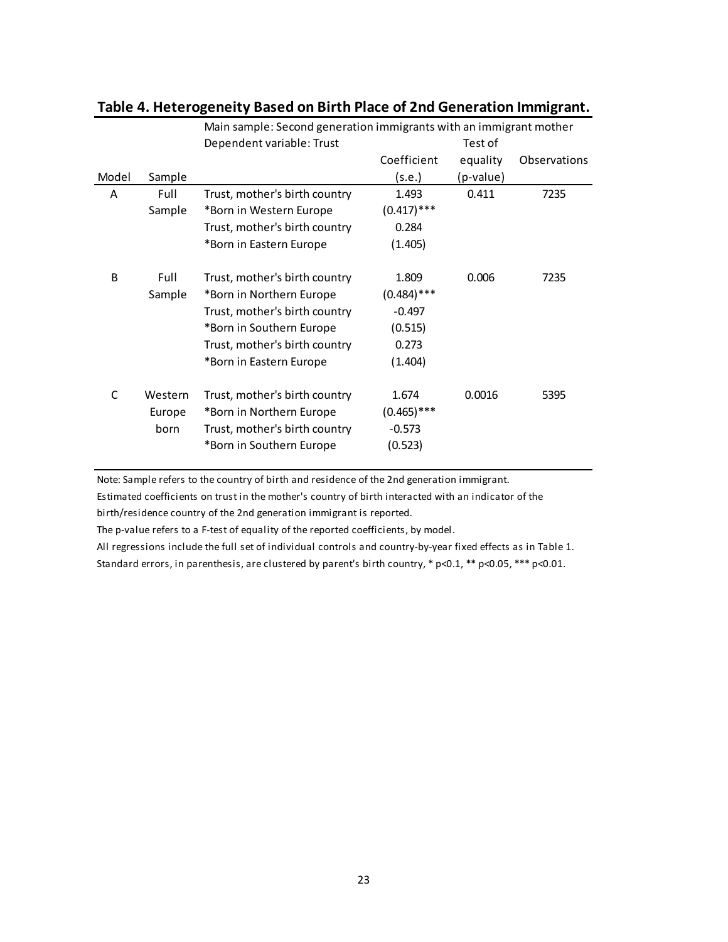|       |         | Main sample: Second generation immigrants with an immigrant mother |               |           |              |  |  |  |  |
|-------|---------|--------------------------------------------------------------------|---------------|-----------|--------------|--|--|--|--|
|       |         | Dependent variable: Trust                                          |               | Test of   |              |  |  |  |  |
|       |         |                                                                    | Coefficient   | equality  | Observations |  |  |  |  |
| Model | Sample  |                                                                    | (s.e.)        | (p-value) |              |  |  |  |  |
| A     | Full    | Trust, mother's birth country                                      | 1.493         | 0.411     | 7235         |  |  |  |  |
|       | Sample  | *Born in Western Europe                                            | $(0.417)$ *** |           |              |  |  |  |  |
|       |         | Trust, mother's birth country                                      | 0.284         |           |              |  |  |  |  |
|       |         | *Born in Eastern Europe                                            | (1.405)       |           |              |  |  |  |  |
| B     | Full    | Trust, mother's birth country                                      | 1.809         | 0.006     | 7235         |  |  |  |  |
|       | Sample  | *Born in Northern Europe                                           | $(0.484)$ *** |           |              |  |  |  |  |
|       |         | Trust, mother's birth country                                      | $-0.497$      |           |              |  |  |  |  |
|       |         | *Born in Southern Europe                                           | (0.515)       |           |              |  |  |  |  |
|       |         | Trust, mother's birth country                                      | 0.273         |           |              |  |  |  |  |
|       |         | *Born in Eastern Europe                                            | (1.404)       |           |              |  |  |  |  |
| C     | Western | Trust, mother's birth country                                      | 1.674         | 0.0016    | 5395         |  |  |  |  |
|       | Europe  | *Born in Northern Europe                                           | $(0.465)$ *** |           |              |  |  |  |  |
|       | born    | Trust, mother's birth country                                      | $-0.573$      |           |              |  |  |  |  |
|       |         | *Born in Southern Europe                                           | (0.523)       |           |              |  |  |  |  |

# **Table 4. Heterogeneity Based on Birth Place of 2nd Generation Immigrant.**

Note: Sample refers to the country of birth and residence of the 2nd generation immigrant.

Estimated coefficients on trust in the mother's country of birth interacted with an indicator of the birth/residence country of the 2nd generation immigrant is reported.

The p-value refers to a F-test of equality of the reported coefficients, by model.

All regressions include the full set of individual controls and country‐by‐year fixed effects as in Table 1. Standard errors, in parenthesis, are clustered by parent's birth country, \* p<0.1, \*\* p<0.05, \*\*\* p<0.01.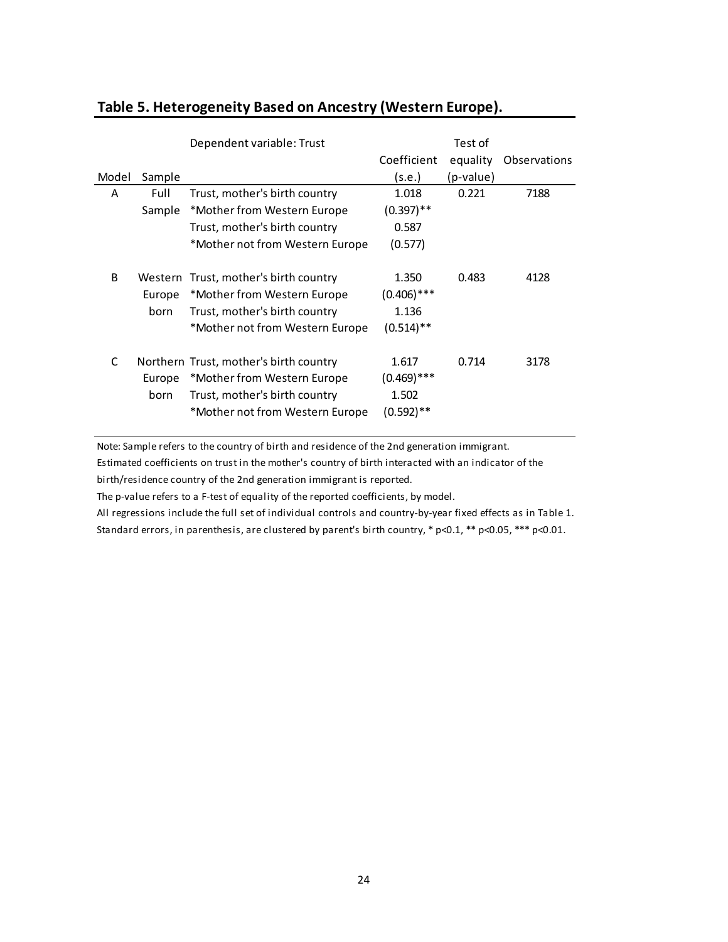|              |         | Dependent variable: Trust              | Test of                 |           |              |  |
|--------------|---------|----------------------------------------|-------------------------|-----------|--------------|--|
|              |         |                                        | Coefficient             | equality  | Observations |  |
| Model        | Sample  |                                        | (s.e.)                  | (p-value) |              |  |
| A            | Full    | Trust, mother's birth country          | 1.018                   | 0.221     | 7188         |  |
|              | Sample  | *Mother from Western Europe            | $(0.397)$ **            |           |              |  |
|              |         | Trust, mother's birth country          | 0.587                   |           |              |  |
|              |         | *Mother not from Western Europe        | (0.577)                 |           |              |  |
|              |         |                                        |                         |           |              |  |
| <sub>B</sub> | Western | Trust, mother's birth country          | 1.350                   | 0.483     | 4128         |  |
|              | Europe  | *Mother from Western Europe            | $(0.406)$ ***           |           |              |  |
|              | born    | Trust, mother's birth country          | 1.136                   |           |              |  |
|              |         | *Mother not from Western Europe        | $(0.514)$ <sup>**</sup> |           |              |  |
|              |         |                                        |                         |           |              |  |
| C            |         | Northern Trust, mother's birth country | 1.617                   | 0.714     | 3178         |  |
|              | Europe  | *Mother from Western Europe            | $(0.469)$ ***           |           |              |  |
|              | born    | Trust, mother's birth country          | 1.502                   |           |              |  |
|              |         | *Mother not from Western Europe        | (0.592)**               |           |              |  |
|              |         |                                        |                         |           |              |  |

# **Table 5. Heterogeneity Based on Ancestry (Western Europe).**

Note: Sample refers to the country of birth and residence of the 2nd generation immigrant.

Estimated coefficients on trust in the mother's country of birth interacted with an indicator of the

birth/residence country of the 2nd generation immigrant is reported.

The p-value refers to a F-test of equality of the reported coefficients, by model.

All regressions include the full set of individual controls and country‐by‐year fixed effects as in Table 1.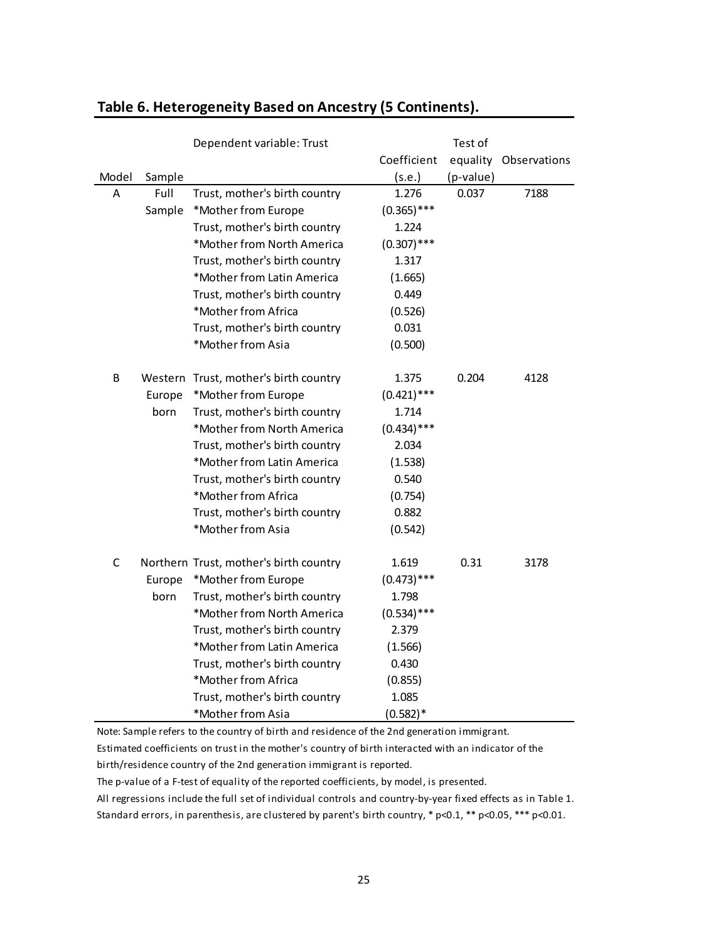|              |        | Dependent variable: Trust              |               | Test of   |              |
|--------------|--------|----------------------------------------|---------------|-----------|--------------|
|              |        |                                        | Coefficient   | equality  | Observations |
| Model        | Sample |                                        | (s.e.)        | (p-value) |              |
| A            | Full   | Trust, mother's birth country          | 1.276         | 0.037     | 7188         |
|              | Sample | *Mother from Europe                    | $(0.365)$ *** |           |              |
|              |        | Trust, mother's birth country          | 1.224         |           |              |
|              |        | *Mother from North America             | $(0.307)$ *** |           |              |
|              |        | Trust, mother's birth country          | 1.317         |           |              |
|              |        | *Mother from Latin America             | (1.665)       |           |              |
|              |        | Trust, mother's birth country          | 0.449         |           |              |
|              |        | *Mother from Africa                    | (0.526)       |           |              |
|              |        | Trust, mother's birth country          | 0.031         |           |              |
|              |        | *Mother from Asia                      | (0.500)       |           |              |
| B            |        | Western Trust, mother's birth country  | 1.375         | 0.204     | 4128         |
|              | Europe | *Mother from Europe                    | $(0.421)$ *** |           |              |
|              | born   | Trust, mother's birth country          | 1.714         |           |              |
|              |        | *Mother from North America             | $(0.434)$ *** |           |              |
|              |        | Trust, mother's birth country          | 2.034         |           |              |
|              |        | *Mother from Latin America             | (1.538)       |           |              |
|              |        | Trust, mother's birth country          | 0.540         |           |              |
|              |        | *Mother from Africa                    | (0.754)       |           |              |
|              |        | Trust, mother's birth country          | 0.882         |           |              |
|              |        | *Mother from Asia                      | (0.542)       |           |              |
| $\mathsf{C}$ |        | Northern Trust, mother's birth country | 1.619         | 0.31      | 3178         |
|              | Europe | *Mother from Europe                    | $(0.473)$ *** |           |              |
|              | born   | Trust, mother's birth country          | 1.798         |           |              |
|              |        | *Mother from North America             | $(0.534)$ *** |           |              |
|              |        | Trust, mother's birth country          | 2.379         |           |              |
|              |        | *Mother from Latin America             | (1.566)       |           |              |
|              |        | Trust, mother's birth country          | 0.430         |           |              |
|              |        | *Mother from Africa                    | (0.855)       |           |              |
|              |        | Trust, mother's birth country          | 1.085         |           |              |
|              |        | *Mother from Asia                      | $(0.582)*$    |           |              |

# **Table 6. Heterogeneity Based on Ancestry (5 Continents).**

Note: Sample refers to the country of birth and residence of the 2nd generation immigrant.

Estimated coefficients on trust in the mother's country of birth interacted with an indicator of the

birth/residence country of the 2nd generation immigrant is reported.

The p-value of a F-test of equality of the reported coefficients, by model, is presented.

All regressions include the full set of individual controls and country‐by‐year fixed effects as in Table 1.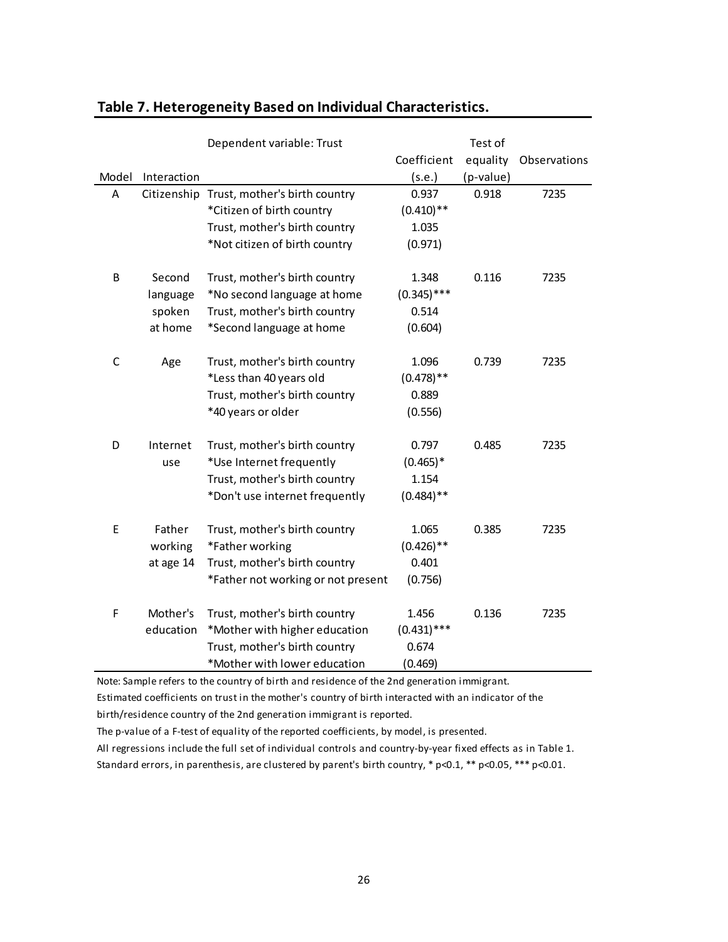|              |             | Dependent variable: Trust          |               | Test of   |              |
|--------------|-------------|------------------------------------|---------------|-----------|--------------|
|              |             |                                    | Coefficient   | equality  | Observations |
| Model        | Interaction |                                    | (s.e.)        | (p-value) |              |
| A            | Citizenship | Trust, mother's birth country      | 0.937         | 0.918     | 7235         |
|              |             | *Citizen of birth country          | $(0.410)$ **  |           |              |
|              |             | Trust, mother's birth country      | 1.035         |           |              |
|              |             | *Not citizen of birth country      | (0.971)       |           |              |
|              |             |                                    |               |           |              |
| B            | Second      | Trust, mother's birth country      | 1.348         | 0.116     | 7235         |
|              | language    | *No second language at home        | $(0.345)$ *** |           |              |
|              | spoken      | Trust, mother's birth country      | 0.514         |           |              |
|              | at home     | *Second language at home           | (0.604)       |           |              |
| $\mathsf{C}$ | Age         | Trust, mother's birth country      | 1.096         | 0.739     | 7235         |
|              |             | *Less than 40 years old            | $(0.478)$ **  |           |              |
|              |             | Trust, mother's birth country      | 0.889         |           |              |
|              |             | *40 years or older                 | (0.556)       |           |              |
| D            | Internet    | Trust, mother's birth country      | 0.797         | 0.485     | 7235         |
|              | use         | *Use Internet frequently           | $(0.465)*$    |           |              |
|              |             | Trust, mother's birth country      | 1.154         |           |              |
|              |             | *Don't use internet frequently     | $(0.484)$ **  |           |              |
|              |             |                                    |               |           |              |
| E            | Father      | Trust, mother's birth country      | 1.065         | 0.385     | 7235         |
|              | working     | *Father working                    | $(0.426)$ **  |           |              |
|              | at age 14   | Trust, mother's birth country      | 0.401         |           |              |
|              |             | *Father not working or not present | (0.756)       |           |              |
| F            | Mother's    | Trust, mother's birth country      | 1.456         | 0.136     | 7235         |
|              | education   | *Mother with higher education      | $(0.431)$ *** |           |              |
|              |             | Trust, mother's birth country      | 0.674         |           |              |
|              |             | *Mother with lower education       | (0.469)       |           |              |

# **Table 7. Heterogeneity Based on Individual Characteristics.**

Note: Sample refers to the country of birth and residence of the 2nd generation immigrant.

Estimated coefficients on trust in the mother's country of birth interacted with an indicator of the

birth/residence country of the 2nd generation immigrant is reported.

The p-value of a F-test of equality of the reported coefficients, by model, is presented.

All regressions include the full set of individual controls and country‐by‐year fixed effects as in Table 1.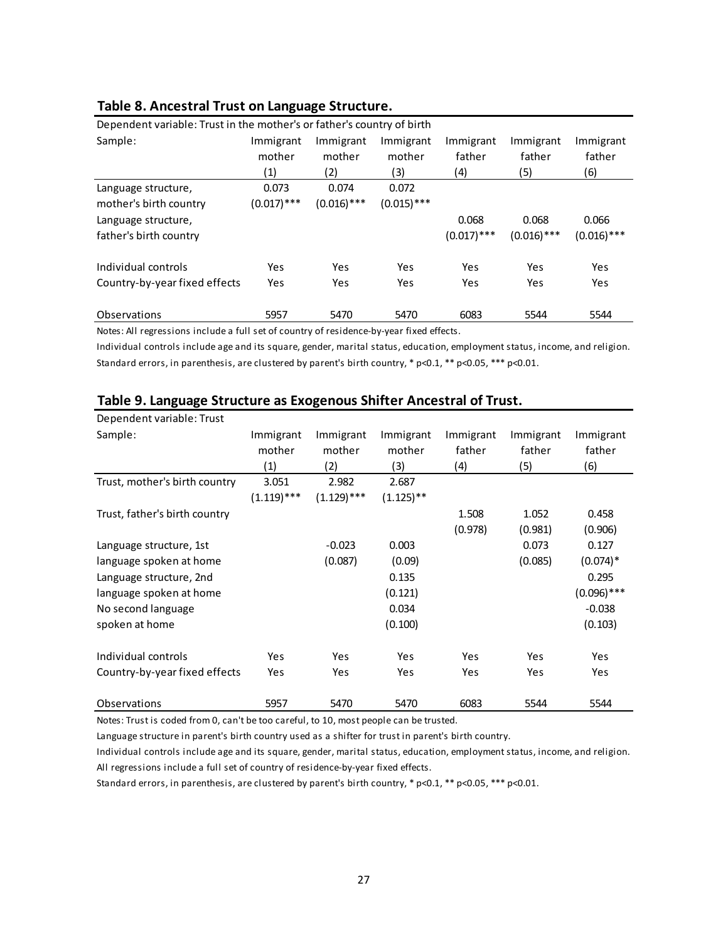| Dependent variable: Trust in the mother's or father's country of birth |               |               |               |               |               |               |  |  |  |
|------------------------------------------------------------------------|---------------|---------------|---------------|---------------|---------------|---------------|--|--|--|
| Sample:                                                                | Immigrant     | Immigrant     | Immigrant     | Immigrant     | Immigrant     | Immigrant     |  |  |  |
|                                                                        | mother        | mother        | mother        | father        | father        | father        |  |  |  |
|                                                                        | (1)           | (2)           | (3)           | (4)           | (5)           | (6)           |  |  |  |
| Language structure,                                                    | 0.073         | 0.074         | 0.072         |               |               |               |  |  |  |
| mother's birth country                                                 | $(0.017)$ *** | $(0.016)$ *** | $(0.015)$ *** |               |               |               |  |  |  |
| Language structure,                                                    |               |               |               | 0.068         | 0.068         | 0.066         |  |  |  |
| father's birth country                                                 |               |               |               | $(0.017)$ *** | $(0.016)$ *** | $(0.016)$ *** |  |  |  |
| Individual controls                                                    | Yes           | Yes           | Yes           | Yes           | Yes           | Yes           |  |  |  |
| Country-by-year fixed effects                                          | Yes           | Yes           | Yes           | Yes           | Yes           | Yes           |  |  |  |
| Observations                                                           | 5957          | 5470          | 5470          | 6083          | 5544          | 5544          |  |  |  |

## **Table 8. Ancestral Trust on Language Structure.**

Notes: All regressions include a full set of country of residence‐by‐year fixed effects.

Individual controls include age and its square, gender, marital status, education, employment status, income, and religion. Standard errors, in parenthesis, are clustered by parent's birth country,  $*$  p<0.1,  $**$  p<0.05,  $***$  p<0.01.

| Dependent variable: Trust     |               |               |              |           |           |                        |
|-------------------------------|---------------|---------------|--------------|-----------|-----------|------------------------|
| Sample:                       | Immigrant     | Immigrant     | Immigrant    | Immigrant | Immigrant | Immigrant              |
|                               | mother        | mother        | mother       | father    | father    | father                 |
|                               | (1)           | (2)           | (3)          | (4)       | (5)       | (6)                    |
| Trust, mother's birth country | 3.051         | 2.982         | 2.687        |           |           |                        |
|                               | $(1.119)$ *** | $(1.129)$ *** | $(1.125)$ ** |           |           |                        |
| Trust, father's birth country |               |               |              | 1.508     | 1.052     | 0.458                  |
|                               |               |               |              | (0.978)   | (0.981)   | (0.906)                |
| Language structure, 1st       |               | $-0.023$      | 0.003        |           | 0.073     | 0.127                  |
| language spoken at home       |               | (0.087)       | (0.09)       |           | (0.085)   | $(0.074)$ <sup>*</sup> |
| Language structure, 2nd       |               |               | 0.135        |           |           | 0.295                  |
| language spoken at home       |               |               | (0.121)      |           |           | $(0.096)$ ***          |
| No second language            |               |               | 0.034        |           |           | $-0.038$               |
| spoken at home                |               |               | (0.100)      |           |           | (0.103)                |
| Individual controls           | <b>Yes</b>    | <b>Yes</b>    | Yes          | Yes       | Yes       | Yes                    |
| Country-by-year fixed effects | Yes           | <b>Yes</b>    | Yes          | Yes       | Yes       | Yes                    |
| Observations                  | 5957          | 5470          | 5470         | 6083      | 5544      | 5544                   |

# **Table 9. Language Structure as Exogenous Shifter Ancestral of Trust.**

Notes: Trust is coded from 0, can't be too careful, to 10, most people can be trusted.

Language structure in parent's birth country used as a shifter for trust in parent's birth country.

Individual controls include age and its square, gender, marital status, education, employment status, income, and religion. All regressions include a full set of country of residence-by-year fixed effects.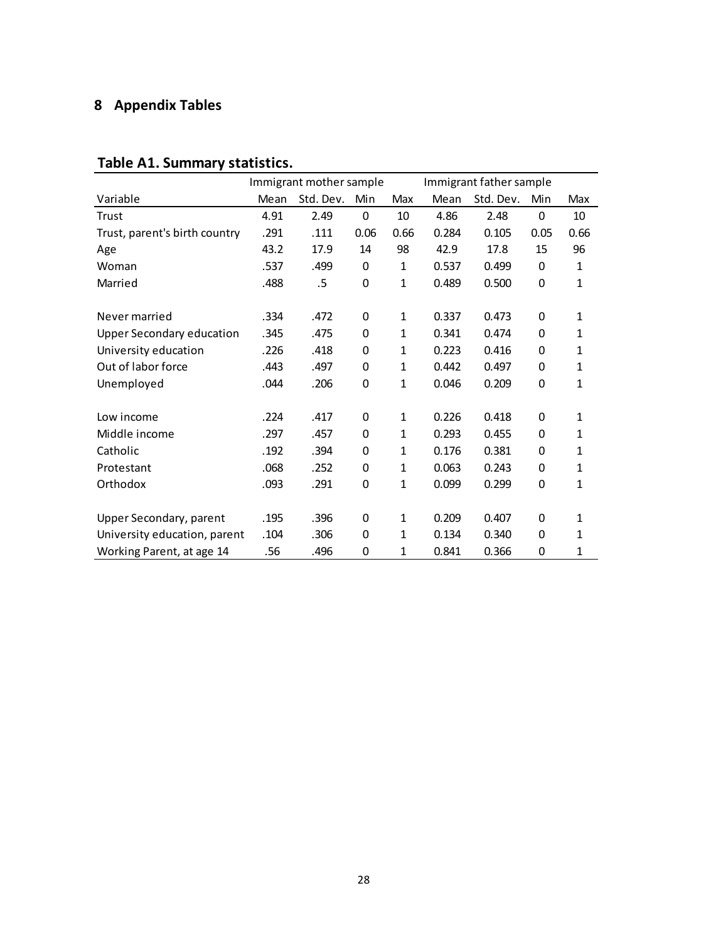# **8 Appendix Tables**

|                                  |      | Immigrant mother sample |                  | Immigrant father sample |       |           |             |              |
|----------------------------------|------|-------------------------|------------------|-------------------------|-------|-----------|-------------|--------------|
| Variable                         | Mean | Std. Dev.               | Min              | Max                     | Mean  | Std. Dev. | Min         | Max          |
| Trust                            | 4.91 | 2.49                    | 0                | 10                      | 4.86  | 2.48      | 0           | 10           |
| Trust, parent's birth country    | .291 | .111                    | 0.06             | 0.66                    | 0.284 | 0.105     | 0.05        | 0.66         |
| Age                              | 43.2 | 17.9                    | 14               | 98                      | 42.9  | 17.8      | 15          | 96           |
| Woman                            | .537 | .499                    | 0                | 1                       | 0.537 | 0.499     | 0           | 1            |
| Married                          | .488 | .5                      | 0                | 1                       | 0.489 | 0.500     | 0           | 1            |
|                                  |      |                         |                  |                         |       |           |             |              |
| Never married                    | .334 | .472                    | 0                | 1                       | 0.337 | 0.473     | 0           | 1            |
| <b>Upper Secondary education</b> | .345 | .475                    | 0                | 1                       | 0.341 | 0.474     | 0           | 1            |
| University education             | .226 | .418                    | 0                | 1                       | 0.223 | 0.416     | 0           | 1            |
| Out of labor force               | .443 | .497                    | 0                | 1                       | 0.442 | 0.497     | 0           | 1            |
| Unemployed                       | .044 | .206                    | 0                | 1                       | 0.046 | 0.209     | 0           | 1            |
|                                  |      |                         |                  |                         |       |           |             |              |
| Low income                       | .224 | .417                    | 0                | 1                       | 0.226 | 0.418     | 0           | 1            |
| Middle income                    | .297 | .457                    | 0                | $\mathbf{1}$            | 0.293 | 0.455     | 0           | $\mathbf{1}$ |
| Catholic                         | .192 | .394                    | 0                | 1                       | 0.176 | 0.381     | 0           | 1            |
| Protestant                       | .068 | .252                    | 0                | 1                       | 0.063 | 0.243     | 0           | 1            |
| Orthodox                         | .093 | .291                    | $\boldsymbol{0}$ | 1                       | 0.099 | 0.299     | $\mathbf 0$ | 1            |
|                                  |      |                         |                  |                         |       |           |             |              |
| Upper Secondary, parent          | .195 | .396                    | 0                | 1                       | 0.209 | 0.407     | 0           | 1            |
| University education, parent     | .104 | .306                    | 0                | 1                       | 0.134 | 0.340     | 0           | 1            |
| Working Parent, at age 14        | .56  | .496                    | $\mathbf 0$      | 1                       | 0.841 | 0.366     | 0           | 1            |

# **Table A1. Summary statistics.**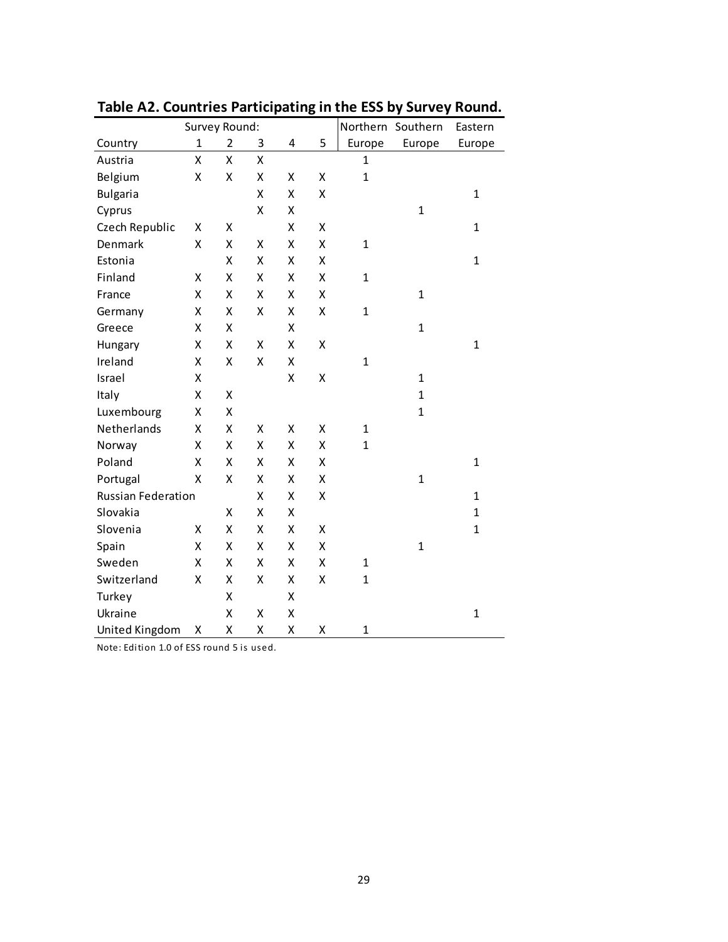|                           | Survey Round: |                | Northern Southern | Eastern |   |              |              |              |
|---------------------------|---------------|----------------|-------------------|---------|---|--------------|--------------|--------------|
| Country                   | $\mathbf{1}$  | $\overline{2}$ | 3                 | 4       | 5 | Europe       | Europe       | Europe       |
| Austria                   | Χ             | Χ              | Χ                 |         |   | $\mathbf{1}$ |              |              |
| Belgium                   | X             | X              | X                 | Χ       | X | $\mathbf{1}$ |              |              |
| <b>Bulgaria</b>           |               |                | X                 | X       | X |              |              | $\mathbf{1}$ |
| Cyprus                    |               |                | Χ                 | Χ       |   |              | $\mathbf{1}$ |              |
| Czech Republic            | Χ             | Χ              |                   | X       | X |              |              | $\mathbf{1}$ |
| Denmark                   | Χ             | Χ              | Χ                 | Χ       | X | $\mathbf 1$  |              |              |
| Estonia                   |               | Χ              | Χ                 | Χ       | X |              |              | $\mathbf{1}$ |
| Finland                   | χ             | Χ              | Χ                 | Χ       | X | $\mathbf 1$  |              |              |
| France                    | X             | Χ              | χ                 | Χ       | X |              | 1            |              |
| Germany                   | Χ             | Χ              | Χ                 | Χ       | X | $\mathbf{1}$ |              |              |
| Greece                    | Χ             | Χ              |                   | Χ       |   |              | $\mathbf{1}$ |              |
| Hungary                   | Χ             | Χ              | Χ                 | Χ       | X |              |              | $\mathbf{1}$ |
| Ireland                   | Χ             | X              | Χ                 | Χ       |   | $\mathbf{1}$ |              |              |
| Israel                    | Χ             |                |                   | Χ       | Χ |              | $\mathbf{1}$ |              |
| Italy                     | Χ             | Χ              |                   |         |   |              | $\mathbf{1}$ |              |
| Luxembourg                | Χ             | Χ              |                   |         |   |              | $\mathbf{1}$ |              |
| Netherlands               | X             | X              | Χ                 | Χ       | X | $\mathbf{1}$ |              |              |
| Norway                    | X             | Χ              | Χ                 | Χ       | X | $\mathbf{1}$ |              |              |
| Poland                    | X             | Χ              | Χ                 | X       | X |              |              | $\mathbf{1}$ |
| Portugal                  | X             | X              | Χ                 | Χ       | X |              | $\mathbf{1}$ |              |
| <b>Russian Federation</b> |               |                | Χ                 | Χ       | X |              |              | $\mathbf{1}$ |
| Slovakia                  |               | Χ              | Χ                 | Χ       |   |              |              | $\mathbf{1}$ |
| Slovenia                  | χ             | Χ              | Χ                 | Χ       | Χ |              |              | $\mathbf{1}$ |
| Spain                     | Χ             | Χ              | Χ                 | Χ       | X |              | $\mathbf{1}$ |              |
| Sweden                    | X             | χ              | χ                 | Χ       | Χ | 1            |              |              |
| Switzerland               | X             | X              | Χ                 | Χ       | X | $\mathbf{1}$ |              |              |
| Turkey                    |               | X              |                   | Χ       |   |              |              |              |
| Ukraine                   |               | X              | Χ                 | Χ       |   |              |              | $\mathbf{1}$ |
| United Kingdom            | Χ             | X              | Χ                 | X       | X | $\mathbf 1$  |              |              |

**Table A2. Countries Participating in the ESS by Survey Round.**

Note: Edition 1.0 of ESS round 5 is used.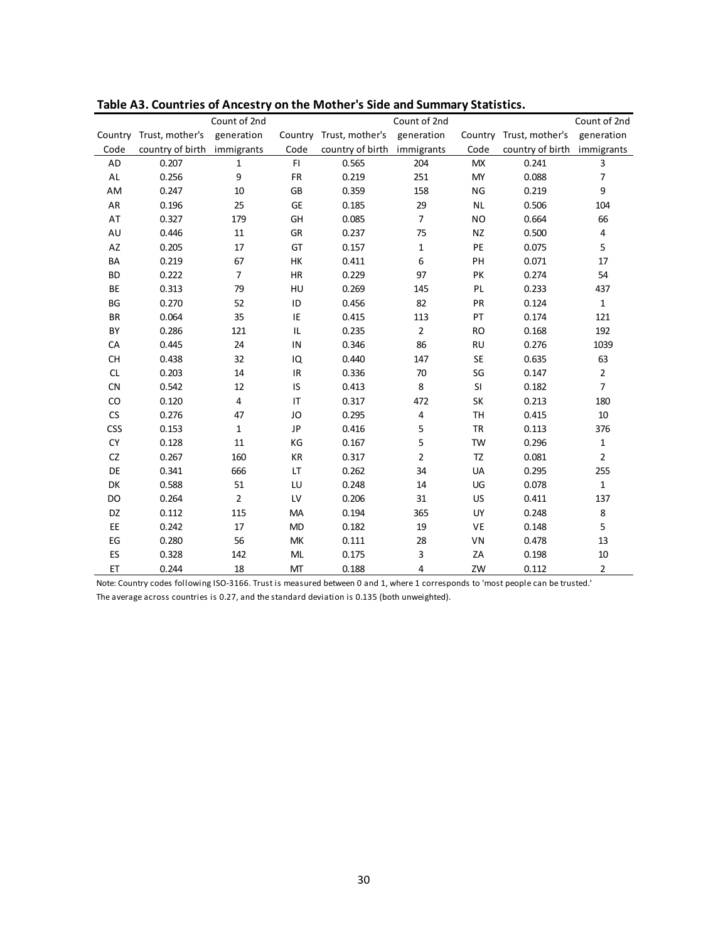|               |                  | Count of 2nd   |                                   |                         | Count of 2nd   |           |                  | Count of 2nd   |
|---------------|------------------|----------------|-----------------------------------|-------------------------|----------------|-----------|------------------|----------------|
| Country       | Trust, mother's  | generation     |                                   | Country Trust, mother's | generation     | Country   | Trust, mother's  | generation     |
| Code          | country of birth | immigrants     | Code                              | country of birth        | immigrants     | Code      | country of birth | immigrants     |
| AD            | 0.207            | $\mathbf{1}$   | F1                                | 0.565                   | 204            | <b>MX</b> | 0.241            | 3              |
| $\mathsf{AL}$ | 0.256            | 9              | FR                                | 0.219                   | 251            | <b>MY</b> | 0.088            | $\overline{7}$ |
| AM            | 0.247            | 10             | GB                                | 0.359                   | 158            | NG        | 0.219            | 9              |
| AR            | 0.196            | 25             | <b>GE</b>                         | 0.185                   | 29             | <b>NL</b> | 0.506            | 104            |
| AT            | 0.327            | 179            | GH                                | 0.085                   | $\overline{7}$ | <b>NO</b> | 0.664            | 66             |
| AU            | 0.446            | $11\,$         | GR                                | 0.237                   | 75             | <b>NZ</b> | 0.500            | $\overline{4}$ |
| AZ            | 0.205            | 17             | GT                                | 0.157                   | $\mathbf{1}$   | PE        | 0.075            | 5              |
| BA            | 0.219            | 67             | HK                                | 0.411                   | 6              | PH        | 0.071            | 17             |
| <b>BD</b>     | 0.222            | 7              | HR                                | 0.229                   | 97             | PK        | 0.274            | 54             |
| BE            | 0.313            | 79             | HU                                | 0.269                   | 145            | PL        | 0.233            | 437            |
| BG            | 0.270            | 52             | ID                                | 0.456                   | 82             | PR        | 0.124            | $\mathbf{1}$   |
| <b>BR</b>     | 0.064            | 35             | IE                                | 0.415                   | 113            | PT        | 0.174            | 121            |
| BY            | 0.286            | 121            | IL                                | 0.235                   | $\mathbf 2$    | <b>RO</b> | 0.168            | 192            |
| CA            | 0.445            | 24             | IN                                | 0.346                   | 86             | <b>RU</b> | 0.276            | 1039           |
| <b>CH</b>     | 0.438            | 32             | IQ                                | 0.440                   | 147            | <b>SE</b> | 0.635            | 63             |
| <b>CL</b>     | 0.203            | 14             | $\ensuremath{\mathsf{IR}}\xspace$ | 0.336                   | 70             | SG        | 0.147            | $\overline{2}$ |
| <b>CN</b>     | 0.542            | 12             | IS                                | 0.413                   | 8              | SI        | 0.182            | $\overline{7}$ |
| CO            | 0.120            | 4              | IT                                | 0.317                   | 472            | SK        | 0.213            | 180            |
| CS            | 0.276            | 47             | JO                                | 0.295                   | 4              | <b>TH</b> | 0.415            | 10             |
| <b>CSS</b>    | 0.153            | $\mathbf{1}$   | JP                                | 0.416                   | 5              | <b>TR</b> | 0.113            | 376            |
| <b>CY</b>     | 0.128            | 11             | KG                                | 0.167                   | 5              | <b>TW</b> | 0.296            | $\mathbf{1}$   |
| CZ            | 0.267            | 160            | KR                                | 0.317                   | $\overline{2}$ | TZ        | 0.081            | $\overline{2}$ |
| DE            | 0.341            | 666            | LT                                | 0.262                   | 34             | UA        | 0.295            | 255            |
| DK            | 0.588            | 51             | LU                                | 0.248                   | 14             | UG        | 0.078            | $\mathbf{1}$   |
| DO            | 0.264            | $\overline{2}$ | LV                                | 0.206                   | 31             | <b>US</b> | 0.411            | 137            |
| DZ            | 0.112            | 115            | MA                                | 0.194                   | 365            | UY        | 0.248            | 8              |
| EE            | 0.242            | 17             | <b>MD</b>                         | 0.182                   | 19             | VE        | 0.148            | 5              |
| EG            | 0.280            | 56             | MK                                | 0.111                   | 28             | VN        | 0.478            | 13             |
| ES            | 0.328            | 142            | ML                                | 0.175                   | 3              | ZA        | 0.198            | 10             |
| ET            | 0.244            | 18             | MT                                | 0.188                   | 4              | ZW        | 0.112            | $\overline{2}$ |

**Table A3. Countries of Ancestry on the Mother's Side and Summary Statistics.**

Note: Country codes following ISO‐3166. Trust is measured between 0 and 1, where 1 corresponds to 'most people can be trusted.'

The average across countries is 0.27, and the standard deviation is 0.135 (both unweighted).